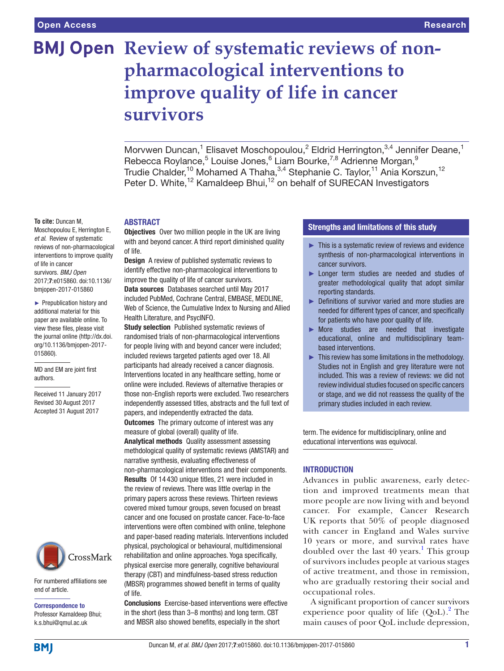# **BMJ Open Review of systematic reviews of nonpharmacological interventions to improve quality of life in cancer survivors**

Morvwen Duncan,<sup>1</sup> Elisavet Moschopoulou,<sup>2</sup> Eldrid Herrington,<sup>3,4</sup> Jennifer Deane,<sup>1</sup> Rebecca Roylance,<sup>5</sup> Louise Jones,<sup>6</sup> Liam Bourke,<sup>7,8</sup> Adrienne Morgan,<sup>9</sup> Trudie Chalder,<sup>10</sup> Mohamed A Thaha,<sup>3,4</sup> Stephanie C. Taylor,<sup>11</sup> Ania Korszun,<sup>12</sup> Peter D. White,<sup>12</sup> Kamaldeep Bhui,<sup>12</sup> on behalf of SURECAN Investigators

#### **To cite:** Duncan M,

Moschopoulou E, Herrington E, *et al*. Review of systematic reviews of non-pharmacological interventions to improve quality of life in cancer survivors. *BMJ Open* 2017;7:e015860. doi:10.1136/ bmjopen-2017-015860

► Prepublication history and additional material for this paper are available online. To view these files, please visit the journal online [\(http://dx.doi.](http://dx.doi.org/10.1136/bmjopen-2017-015860) [org/10.1136/bmjopen-2017-](http://dx.doi.org/10.1136/bmjopen-2017-015860) [015860\)](http://dx.doi.org/10.1136/bmjopen-2017-015860).

MD and EM are joint first authors.

Received 11 January 2017 Revised 30 August 2017 Accepted 31 August 2017



For numbered affiliations see end of article.

Correspondence to Professor Kamaldeep Bhui; k.s.bhui@qmul.ac.uk

# **ABSTRACT**

**Objectives** Over two million people in the UK are living with and beyond cancer. A third report diminished quality of life.

Design A review of published systematic reviews to identify effective non-pharmacological interventions to improve the quality of life of cancer survivors. Data sources Databases searched until May 2017 included PubMed, Cochrane Central, EMBASE, MEDLINE, Web of Science, the Cumulative Index to Nursing and Allied Health Literature, and PsycINFO.

**Study selection** Published systematic reviews of randomised trials of non-pharmacological interventions for people living with and beyond cancer were included; included reviews targeted patients aged over 18. All participants had already received a cancer diagnosis. Interventions located in any healthcare setting, home or online were included. Reviews of alternative therapies or those non-English reports were excluded. Two researchers independently assessed titles, abstracts and the full text of papers, and independently extracted the data.

**Outcomes** The primary outcome of interest was any measure of global (overall) quality of life.

Analytical methods Quality assessment assessing methdological quality of systematic reviews (AMSTAR) and narrative synthesis, evaluating effectiveness of non-pharmacological interventions and their components. Results Of 14 430 unique titles, 21 were included in the review of reviews. There was little overlap in the primary papers across these reviews. Thirteen reviews covered mixed tumour groups, seven focused on breast cancer and one focused on prostate cancer. Face-to-face interventions were often combined with online, telephone and paper-based reading materials. Interventions included physical, psychological or behavioural, multidimensional rehabilitation and online approaches. Yoga specifically, physical exercise more generally, cognitive behavioural therapy (CBT) and mindfulness-based stress reduction (MBSR) programmes showed benefit in terms of quality of life.

Conclusions Exercise-based interventions were effective in the short (less than 3–8 months) and long term. CBT and MBSR also showed benefits, especially in the short

# Strengths and limitations of this study

- ► This is a systematic review of reviews and evidence synthesis of non-pharmacological interventions in cancer survivors.
- ► Longer term studies are needed and studies of greater methodological quality that adopt similar reporting standards.
- ► Definitions of survivor varied and more studies are needed for different types of cancer, and specifically for patients who have poor quality of life.
- ► More studies are needed that investigate educational, online and multidisciplinary teambased interventions.
- ► This review has some limitations in the methodology. Studies not in English and grey literature were not included. This was a review of reviews: we did not review individual studies focused on specific cancers or stage, and we did not reassess the quality of the primary studies included in each review.

term. The evidence for multidisciplinary, online and educational interventions was equivocal.

#### **INTRODUCTION**

Advances in public awareness, early detection and improved treatments mean that more people are now living with and beyond cancer. For example, Cancer Research UK reports that 50% of people diagnosed with cancer in England and Wales survive 10 years or more, and survival rates have doubled over the last 40 years.<sup>[1](#page-20-0)</sup> This group of survivors includes people at various stages of active treatment, and those in remission, who are gradually restoring their social and occupational roles.

A significant proportion of cancer survivors experience poor quality of life  $(QoL)<sup>2</sup>$  $(QoL)<sup>2</sup>$  $(QoL)<sup>2</sup>$  The main causes of poor QoL include depression,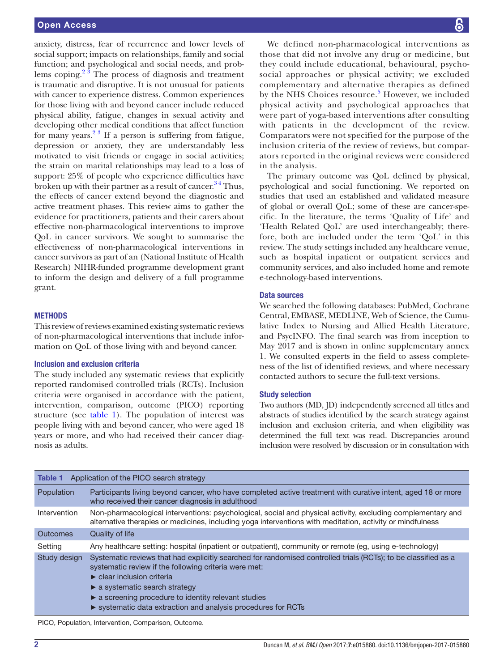anxiety, distress, fear of recurrence and lower levels of social support; impacts on relationships, family and social function; and psychological and social needs, and problems coping. $2^3$  The process of diagnosis and treatment is traumatic and disruptive. It is not unusual for patients with cancer to experience distress. Common experiences for those living with and beyond cancer include reduced physical ability, fatigue, changes in sexual activity and developing other medical conditions that affect function for many years. $2^3$  If a person is suffering from fatigue, depression or anxiety, they are understandably less motivated to visit friends or engage in social activities; the strain on marital relationships may lead to a loss of support: 25% of people who experience difficulties have broken up with their partner as a result of cancer.<sup>34</sup> Thus, the effects of cancer extend beyond the diagnostic and active treatment phases. This review aims to gather the evidence for practitioners, patients and their carers about effective non-pharmacological interventions to improve QoL in cancer survivors. We sought to summarise the effectiveness of non-pharmacological interventions in cancer survivors as part of an (National Institute of Health Research) NIHR-funded programme development grant to inform the design and delivery of a full programme grant.

#### **METHODS**

This review of reviews examined existing systematic reviews of non-pharmacological interventions that include information on QoL of those living with and beyond cancer.

#### Inclusion and exclusion criteria

The study included any systematic reviews that explicitly reported randomised controlled trials (RCTs). Inclusion criteria were organised in accordance with the patient, intervention, comparison, outcome (PICO) reporting structure (see [table](#page-1-0) 1). The population of interest was people living with and beyond cancer, who were aged 18 years or more, and who had received their cancer diagnosis as adults.

We defined non-pharmacological interventions as those that did not involve any drug or medicine, but they could include educational, behavioural, psychosocial approaches or physical activity; we excluded complementary and alternative therapies as defined by the NHS Choices resource.<sup>[5](#page-20-3)</sup> However, we included physical activity and psychological approaches that were part of yoga-based interventions after consulting with patients in the development of the review. Comparators were not specified for the purpose of the inclusion criteria of the review of reviews, but comparators reported in the original reviews were considered in the analysis.

The primary outcome was QoL defined by physical, psychological and social functioning. We reported on studies that used an established and validated measure of global or overall QoL; some of these are cancer-specific. In the literature, the terms 'Quality of Life' and 'Health Related QoL' are used interchangeably; therefore, both are included under the term 'QoL' in this review. The study settings included any healthcare venue, such as hospital inpatient or outpatient services and community services, and also included home and remote e-technology-based interventions.

#### Data sources

We searched the following databases: PubMed, Cochrane Central, EMBASE, MEDLINE, Web of Science, the Cumulative Index to Nursing and Allied Health Literature, and PsycINFO. The final search was from inception to May 2017 and is shown in online [supplementary annex](https://dx.doi.org/10.1136/bmjopen-2017-015860)  [1](https://dx.doi.org/10.1136/bmjopen-2017-015860). We consulted experts in the field to assess completeness of the list of identified reviews, and where necessary contacted authors to secure the full-text versions.

#### Study selection

Two authors (MD, JD) independently screened all titles and abstracts of studies identified by the search strategy against inclusion and exclusion criteria, and when eligibility was determined the full text was read. Discrepancies around inclusion were resolved by discussion or in consultation with

<span id="page-1-0"></span>

| Table 1         | Application of the PICO search strategy                                                                                                                                                                                                                                                                                                           |
|-----------------|---------------------------------------------------------------------------------------------------------------------------------------------------------------------------------------------------------------------------------------------------------------------------------------------------------------------------------------------------|
| Population      | Participants living beyond cancer, who have completed active treatment with curative intent, aged 18 or more<br>who received their cancer diagnosis in adulthood                                                                                                                                                                                  |
| Intervention    | Non-pharmacological interventions: psychological, social and physical activity, excluding complementary and<br>alternative therapies or medicines, including yoga interventions with meditation, activity or mindfulness                                                                                                                          |
| <b>Outcomes</b> | Quality of life                                                                                                                                                                                                                                                                                                                                   |
| Setting         | Any healthcare setting: hospital (inpatient or outpatient), community or remote (eg, using e-technology)                                                                                                                                                                                                                                          |
| Study design    | Systematic reviews that had explicitly searched for randomised controlled trials (RCTs); to be classified as a<br>systematic review if the following criteria were met:<br>$\blacktriangleright$ clear inclusion criteria<br>$\triangleright$ a systematic search strategy<br>$\triangleright$ a screening procedure to identity relevant studies |
|                 | ▶ systematic data extraction and analysis procedures for RCTs                                                                                                                                                                                                                                                                                     |

PICO, Population, Intervention, Comparison, Outcome.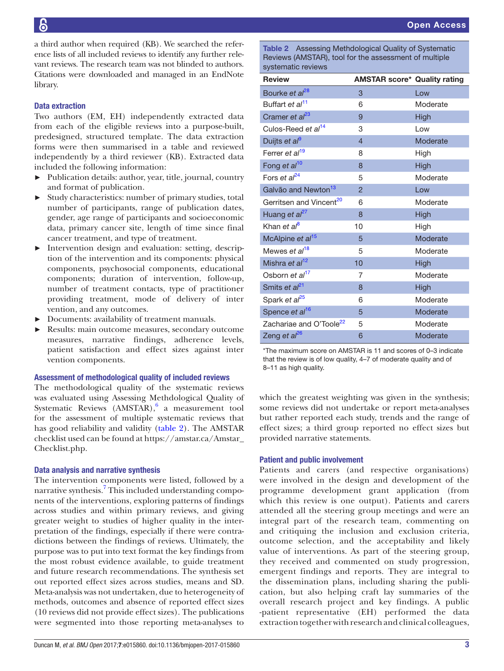a third author when required (KB). We searched the reference lists of all included reviews to identify any further relevant reviews. The research team was not blinded to authors. Citations were downloaded and managed in an EndNote library.

# Data extraction

Two authors (EM, EH) independently extracted data from each of the eligible reviews into a purpose-built, predesigned, structured template. The data extraction forms were then summarised in a table and reviewed independently by a third reviewer (KB). Extracted data included the following information:

- Publication details: author, year, title, journal, country and format of publication.
- ► Study characteristics: number of primary studies, total number of participants, range of publication dates, gender, age range of participants and socioeconomic data, primary cancer site, length of time since final cancer treatment, and type of treatment.
- ► Intervention design and evaluation: setting, description of the intervention and its components: physical components, psychosocial components, educational components; duration of intervention, follow-up, number of treatment contacts, type of practitioner providing treatment, mode of delivery of inter vention, and any outcomes.
- ► Documents: availability of treatment manuals.
- ► Results: main outcome measures, secondary outcome measures, narrative findings, adherence levels, patient satisfaction and effect sizes against inter vention components.

#### Assessment of methodological quality of included reviews

The methodological quality of the systematic reviews was evaluated using Assessing Methdological Quality of Systematic Reviews  $(AMSTAR)$ ,  $6$  a measurement tool for the assessment of multiple systematic reviews that has good reliability and validity ([table](#page-2-0) 2). The AMSTAR checklist used can be found at [https://amstar.ca/Amstar\\_](https://amstar.ca/Amstar_Checklist.php) [Checklist.php.](https://amstar.ca/Amstar_Checklist.php)

# Data analysis and narrative synthesis

The intervention components were listed, followed by a narrative synthesis.<sup>7</sup> This included understanding components of the interventions, exploring patterns of findings across studies and within primary reviews, and giving greater weight to studies of higher quality in the interpretation of the findings, especially if there were contradictions between the findings of reviews. Ultimately, the purpose was to put into text format the key findings from the most robust evidence available, to guide treatment and future research recommendations. The synthesis set out reported effect sizes across studies, means and SD. Meta-analysis was not undertaken, due to heterogeneity of methods, outcomes and absence of reported effect sizes (10 reviews did not provide effect sizes). The publications were segmented into those reporting meta-analyses to

<span id="page-2-0"></span>Table 2 Assessing Methdological Quality of Systematic Reviews (AMSTAR), tool for the assessment of multiple systematic reviews

| <b>Review</b>                       | <b>AMSTAR score* Quality rating</b> |             |
|-------------------------------------|-------------------------------------|-------------|
| Bourke et al <sup>28</sup>          | 3                                   | Low         |
| Buffart et al <sup>11</sup>         | 6                                   | Moderate    |
| Cramer et al <sup>23</sup>          | 9                                   | <b>High</b> |
| Culos-Reed et al <sup>14</sup>      | 3                                   | Low         |
| Duijts et al <sup>9</sup>           | $\overline{4}$                      | Moderate    |
| Ferrer et al <sup>19</sup>          | 8                                   | High        |
| Fong et al <sup>10</sup>            | 8                                   | High        |
| Fors et $al^{24}$                   | 5                                   | Moderate    |
| Galvão and Newton <sup>13</sup>     | $\mathcal{P}$                       | Low         |
| Gerritsen and Vincent <sup>20</sup> | 6                                   | Moderate    |
| Huang et al <sup>27</sup>           | 8                                   | High        |
| Khan et al <sup>8</sup>             | 10                                  | High        |
| McAlpine et al <sup>15</sup>        | 5                                   | Moderate    |
| Mewes et al <sup>18</sup>           | 5                                   | Moderate    |
| Mishra et al <sup>12</sup>          | 10                                  | High        |
| Osborn et al <sup>17</sup>          | 7                                   | Moderate    |
| Smits et al <sup>21</sup>           | 8                                   | High        |
| Spark et al <sup>25</sup>           | 6                                   | Moderate    |
| Spence et al <sup>16</sup>          | 5                                   | Moderate    |
| Zachariae and O'Toole <sup>22</sup> | 5                                   | Moderate    |
| Zeng et al <sup>26</sup>            | 6                                   | Moderate    |

\*The maximum score on AMSTAR is 11 and scores of 0–3 indicate that the review is of low quality, 4–7 of moderate quality and of 8–11 as high quality.

which the greatest weighting was given in the synthesis; some reviews did not undertake or report meta-analyses but rather reported each study, trends and the range of effect sizes; a third group reported no effect sizes but provided narrative statements.

# Patient and public involvement

Patients and carers (and respective organisations) were involved in the design and development of the programme development grant application (from which this review is one output). Patients and carers attended all the steering group meetings and were an integral part of the research team, commenting on and critiquing the inclusion and exclusion criteria, outcome selection, and the acceptability and likely value of interventions. As part of the steering group, they received and commented on study progression, emergent findings and reports. They are integral to the dissemination plans, including sharing the publication, but also helping craft lay summaries of the overall research project and key findings. A public -patient representative (EH) performed the data extraction together with research and clinical colleagues,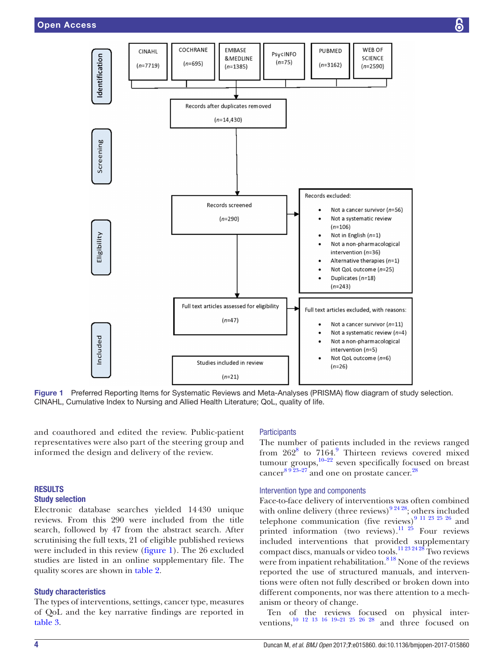

<span id="page-3-0"></span>Figure 1 Preferred Reporting Items for Systematic Reviews and Meta-Analyses (PRISMA) flow diagram of study selection. CINAHL, Cumulative Index to Nursing and Allied Health Literature; QoL, quality of life.

and coauthored and edited the review. Public-patient representatives were also part of the steering group and informed the design and delivery of the review.

# **RESULTS**

# Study selection

Electronic database searches yielded 14430 unique reviews. From this 290 were included from the title search, followed by 47 from the abstract search. After scrutinising the full texts, 21 of eligible published reviews were included in this review [\(figure](#page-3-0) 1). The 26 excluded studies are listed in an online [supplementary file.](https://dx.doi.org/10.1136/bmjopen-2017-015860) The quality scores are shown in [table](#page-2-0) 2.

# Study characteristics

The types of interventions, settings, cancer type, measures of QoL and the key narrative findings are reported in [table](#page-4-0) 3.

# **Participants**

The number of patients included in the reviews ranged from  $262^8$  $262^8$  to  $7164.9$  $7164.9$  Thirteen reviews covered mixed tumour groups,<sup>10–22</sup> seven specifically focused on breast cancer $8923-27$  and one on prostate cancer.<sup>28</sup>

# Intervention type and components

Face-to-face delivery of interventions was often combined with online delivery (three reviews) $92428$ ; others included telephone communication (five reviews)<sup>[9 11 23 25 26](#page-20-10)</sup> and printed information (two reviews).<sup>[11 25](#page-20-7)</sup> Four reviews included interventions that provided supplementary compact discs, manuals or video tools.<sup>11 23 24 28</sup> Two reviews were from inpatient rehabilitation.<sup>818</sup> None of the reviews reported the use of structured manuals, and interventions were often not fully described or broken down into different components, nor was there attention to a mechanism or theory of change.

Ten of the reviews focused on physical interventions,<sup>10 12 13 16 19–21 25 26 28</sup> and three focused on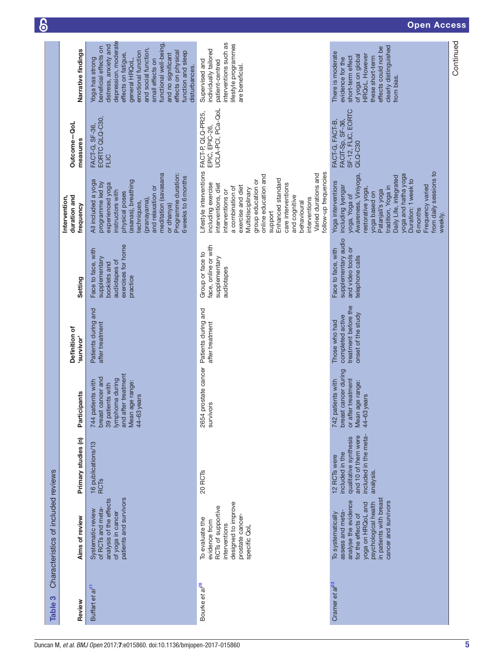<span id="page-4-0"></span>

|                                     |                                            |                                                                                                                                                                                                                                                                                                                    |                                                                                                                                                                                                                                                                                                                                                                                |                                                                                                                                                                                                                                                                                                                      | Continued |
|-------------------------------------|--------------------------------------------|--------------------------------------------------------------------------------------------------------------------------------------------------------------------------------------------------------------------------------------------------------------------------------------------------------------------|--------------------------------------------------------------------------------------------------------------------------------------------------------------------------------------------------------------------------------------------------------------------------------------------------------------------------------------------------------------------------------|----------------------------------------------------------------------------------------------------------------------------------------------------------------------------------------------------------------------------------------------------------------------------------------------------------------------|-----------|
|                                     | Narrative findings                         | depression, moderate<br>functional well-being,<br>distress, anxiety and<br>beneficial effects on<br>and social function,<br>emotional function<br>effects on physical<br>function and sleep<br>and no significant<br>effects on fatigue,<br>Yoga has strong<br>small effects on<br>general HRQoL,<br>disturbances. | interventions such as<br>lifestyle programmes<br>individually tailored<br>Supervised and<br>patient-centred<br>are beneficial.                                                                                                                                                                                                                                                 | clearly distinguished<br>effects could not be<br>There is moderate<br>HRQoL. However<br>of yoga on global<br>short-term effect<br>these short-term<br>evidence for the<br>from bias.                                                                                                                                 |           |
|                                     | Outcome-QoL<br>measures                    | EORTC QLQ-C30,<br>FACT-G, SF-36,<br><b>FLIC</b>                                                                                                                                                                                                                                                                    | UCLA-PCI, PCa-QoL<br>EPIC, EPIC-26,                                                                                                                                                                                                                                                                                                                                            | SF-12, FLIC, EORTC<br>FACIT-Sp, SF-36,<br>FACT-G, FACT-B,<br>QLQ-C30                                                                                                                                                                                                                                                 |           |
|                                     | duration and<br>Intervention,<br>frequency | meditation (savasana<br>Programme duration:<br>6 weeks to 6 months<br>All included a yoga<br>(asanas), breathing<br>programme led by<br>experienced yoga<br>and relaxation or<br>instructors with<br>physical poses<br>(pranayama)<br>techniques,<br>or dhanya)                                                    | Lifestyle interventions FACT-P, QLQ-PR25,<br>follow-up frequencies<br>Varied durations and<br>online education and<br>Enhanced standard<br>group education or<br>including exercise<br>interventions, diet<br>care interventions<br>exercise and diet<br>a combination of<br>Multidisciplinary<br>interventions or<br>and cognitive<br>interventions<br>behavioural<br>support | from daily sessions to<br>yoga and hatha yoga<br>Awareness, Viniyoga,<br>Daily Life, integrated<br>Duration: 1 week to<br>Yoga interventions<br>Frequency varied<br>including lyengar<br>tradition, Yoga in<br>restorative yoga,<br>Patanjali's yoga<br>yoga based on<br>yoga, Yoga of<br><b>6</b> months<br>weekly. |           |
|                                     | Setting                                    | exercises for home<br>Face to face, with<br>supplementary<br>audiotapes of<br>booklets and<br>practice                                                                                                                                                                                                             | face, online or with<br>Group or face to<br>supplementary<br>audiotapes                                                                                                                                                                                                                                                                                                        | supplementary audio<br>and video tools or<br>Face to face, with<br>telephone calls                                                                                                                                                                                                                                   |           |
|                                     | Definition of<br>survivor'                 | Patients during and<br>after treatment                                                                                                                                                                                                                                                                             | 2654 prostate cancer Patients during and<br>after treatment                                                                                                                                                                                                                                                                                                                    | treatment before the<br>onset of the study<br>completed active<br>Those who had                                                                                                                                                                                                                                      |           |
|                                     | Participants                               | I after treatment<br>breast cancer and<br>lymphoma during<br>patients with<br>Mean age range:<br>39 patients with<br>44-63years<br>744<br>and                                                                                                                                                                      | survivors                                                                                                                                                                                                                                                                                                                                                                      | breast cancer during<br>or after treatment<br>742 patients with<br>Mean age range:<br>44-63 years                                                                                                                                                                                                                    |           |
|                                     | Primary studies (n)                        | 16 publications/13<br><b>RCT<sub>S</sub></b>                                                                                                                                                                                                                                                                       | 20 <sub>RCTs</sub>                                                                                                                                                                                                                                                                                                                                                             | included in the meta-<br>and 10 of them were<br>qualitative synthesis<br>included in the<br>12 RCTs were<br>analysis.                                                                                                                                                                                                |           |
| Characteristics of included reviews | Aims of review                             | patients and survivors<br>analysis of the effects<br>of RCTs and meta-<br>Systematic review<br>of yoga in cancer                                                                                                                                                                                                   | designed to improve<br>RCTs of supportive<br>prostate cancer-<br>To evaluate the<br>evidence from<br>interventions<br>specific QoL                                                                                                                                                                                                                                             | in patients with breast<br>analyse the evidence<br>cancer and survivors<br>psychological health<br>yoga on HRQoL and<br>assess and meta-<br>To systematically<br>for the effects of                                                                                                                                  |           |
| Table 3                             | Review                                     | Buffart et al <sup>11</sup>                                                                                                                                                                                                                                                                                        | Bourke et a <sup>pe</sup>                                                                                                                                                                                                                                                                                                                                                      | Cramer et $a^{23}$                                                                                                                                                                                                                                                                                                   |           |

# Open Access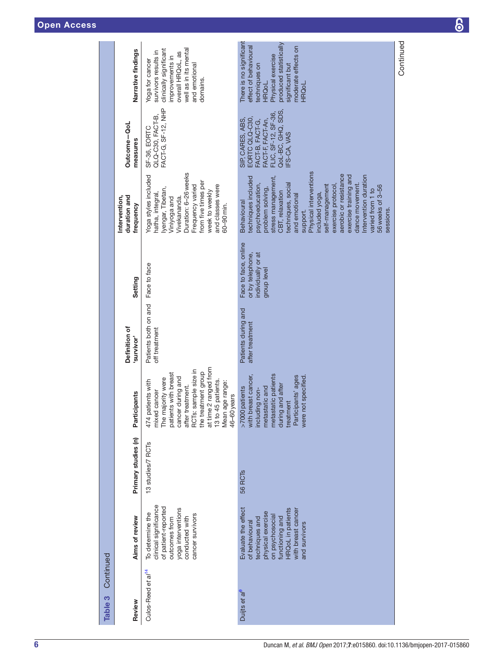| Continued<br>Table 3           |                                                                                                                                                                                |                     |                                                                                                                                                                                                                                                        |                                        |                                                                               |                                                                                                                                                                                                                                                                                                                                                                                                                      |                                                                                                                                     |                                                                                                                                                                                      |
|--------------------------------|--------------------------------------------------------------------------------------------------------------------------------------------------------------------------------|---------------------|--------------------------------------------------------------------------------------------------------------------------------------------------------------------------------------------------------------------------------------------------------|----------------------------------------|-------------------------------------------------------------------------------|----------------------------------------------------------------------------------------------------------------------------------------------------------------------------------------------------------------------------------------------------------------------------------------------------------------------------------------------------------------------------------------------------------------------|-------------------------------------------------------------------------------------------------------------------------------------|--------------------------------------------------------------------------------------------------------------------------------------------------------------------------------------|
| Review                         | Aims of review                                                                                                                                                                 | Primary studies (n) | Participants                                                                                                                                                                                                                                           | Definition of<br>'survivor'            | Setting                                                                       | duration and<br>Intervention,<br>frequency                                                                                                                                                                                                                                                                                                                                                                           | Outcome-QoL<br>measures                                                                                                             | Narrative findings                                                                                                                                                                   |
| Culos-Reed et al <sup>14</sup> | clinical significance<br>of patient-reported<br>yoga interventions<br>To determine the<br>cancer survivors<br>conducted with<br>outcomes from                                  | 13 studies/7 RCTs   | at time 2 ranged from<br>RCTs: sample size in<br>the treatment group<br>patients with breast<br>cancer during and<br>The majority were<br>474 patients with<br>13 to 45 patients.<br>Mean age range:<br>after treatment.<br>mixed cancer<br>46-60years | Patients both on and<br>off treatment  | Face to face                                                                  | Duration: 6-26 weeks<br>Yoga styles included<br>from five times per<br>and classes were<br>Frequency varied<br>lyengar, Tibetan,<br>week to weekly<br>hatha, integral,<br>Vivekananda.<br>Viniyoga and<br>60-90 min.                                                                                                                                                                                                 | FACT-G, SF-12, NHP<br>QLQ-C30, FACT-B,<br>SF-36, EORTC                                                                              | well as in its mental<br>clinically significant<br>survivors results in<br>overall HRQoL, as<br>improvements in<br>Yoga for cancer<br>and emotional<br>domains.                      |
| Duijts et al <sup>s</sup>      | Evaluate the effect<br>HRQoL in patients<br>with breast cancer<br>physical exercise<br>on psychosocial<br>functioning and<br>techniques and<br>of behavioural<br>and survivors | 56 RCT <sub>S</sub> | >7000patients<br>with breast cancer,<br>including non-<br>metastatic and<br>metastatic patients<br>during and after<br>Participants' ages<br>were not specified<br>treatment                                                                           | Patients during and<br>after treatment | Face to face, online<br>or by telephone,<br>individually or at<br>group level | Physical interventions<br>aerobic or resistance<br>exercise training and<br>Intervention duration<br>stress management,<br>techniques included<br>techniques, social<br>psychoeducation,<br>dance movement.<br>56 weeks of 3-56<br>self-management<br>exercise protocol<br>problem solving,<br>varied from 1 to<br>CBT, relaxation<br>included yoga,<br>and emotional<br><b>Behavioural</b><br>sessions.<br>support. | QoL-BC, GHQ, SDS,<br>FLIC, SF-12, SF-36,<br>EORTC QLQ-C30,<br>SIP, CARES, ABS,<br>FACT-F, FACT-An,<br>FACT-B, FACT-G,<br>FS-CA, VAS | There is no significant<br>produced statistically<br>moderate effects on<br>effect of behavioural<br>Physical exercise<br>techniques on<br>significant but<br>HRQoL.<br><b>HRQoL</b> |

Continued

Continued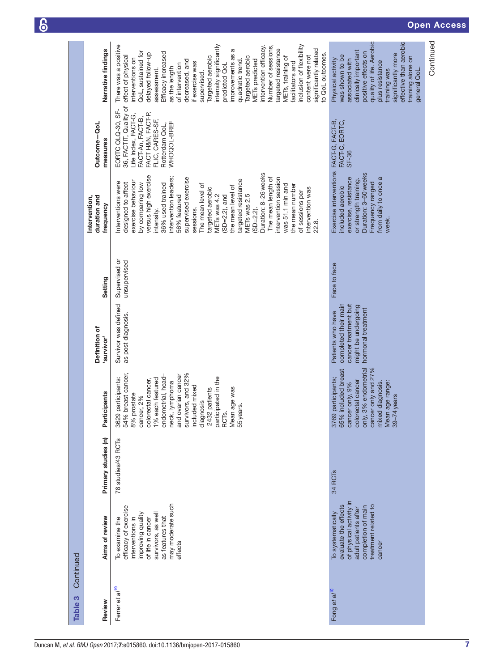| Continued<br>Table 3       |                                                                                                                                                                                |                     |                                                                                                                                                                                                                                                                                                                               |                                                                                                                |                               |                                                                                                                                                                                                                                                                                                                                                                                                                                                                                                                                               |                                                                                                                                                                 |                                                                                                                                                                                                                                                                                                                                                                                                                                                                                                                                                                                                             |
|----------------------------|--------------------------------------------------------------------------------------------------------------------------------------------------------------------------------|---------------------|-------------------------------------------------------------------------------------------------------------------------------------------------------------------------------------------------------------------------------------------------------------------------------------------------------------------------------|----------------------------------------------------------------------------------------------------------------|-------------------------------|-----------------------------------------------------------------------------------------------------------------------------------------------------------------------------------------------------------------------------------------------------------------------------------------------------------------------------------------------------------------------------------------------------------------------------------------------------------------------------------------------------------------------------------------------|-----------------------------------------------------------------------------------------------------------------------------------------------------------------|-------------------------------------------------------------------------------------------------------------------------------------------------------------------------------------------------------------------------------------------------------------------------------------------------------------------------------------------------------------------------------------------------------------------------------------------------------------------------------------------------------------------------------------------------------------------------------------------------------------|
| Review                     | Aims of review                                                                                                                                                                 | Primary studies (n) | Participants                                                                                                                                                                                                                                                                                                                  | Definition of<br>survivor'                                                                                     | Setting                       | duration and<br>Intervention,<br>frequency                                                                                                                                                                                                                                                                                                                                                                                                                                                                                                    | Outcome-QoL<br>measures                                                                                                                                         | Narrative findings                                                                                                                                                                                                                                                                                                                                                                                                                                                                                                                                                                                          |
| Ferrer et al <sup>19</sup> | may moderate such<br>efficacy of exercise<br>survivors, as well<br>improving quality<br>as features that<br>To examine the<br>of life in cancer<br>interventions in<br>effects | 78 studies/43 RCTs  | 54% breast cancer,<br>and ovarian cancer<br>survivors, and 32%<br>endometrial, head-<br>participated in the<br>3629 participants:<br>1% each featured<br>colorectal cancer,<br>neck, lymphoma<br>included mixed<br>Mean age was<br>2432 patients<br>8% prostate<br>cancer, 2%<br>diagnosis<br>55 years.<br>RCT <sub>S</sub> . | Survivor was defined<br>as post diagnosis.                                                                     | Supervised or<br>unsupervised | Duration: 8-26 weeks<br>versus high exercise<br>ntervention leaders;<br>The mean length of<br>intervention session<br>supervised exercise<br>targeted resistance<br>exercise behaviour<br>nterventions were<br>designed to affect<br>by comparing low<br>36% used trained<br>was 51.1 min and<br>The mean level of<br>the mean number<br>the mean level of<br>targeted aerobic<br>intervention was<br>of sessions per<br>METs was 2.5<br>METs was 4.2<br>$(SD=2.2)$ , and<br>56% featured<br>$SD = 2.2$ ).<br>sessions.<br>ntensity.<br>22.8. | 36, FACTIT, Quality of<br>EORTC QLQ-30, SF-<br>Life Index, FACT-G,<br>FACT H&N, FACT-P,<br>FACT-An, FACT-B,<br>FLIC, CARES-SF,<br>WHOQOL-BREF<br>Rotterdam QoL, | inclusion of flexibility<br>intensity significantly<br>There was a positive<br>ntervention efficacy.<br>Number of sessions,<br>targeted resistance<br>significantly related<br>ದ<br>QoL, sustained for<br>Efficacy increased<br>delayed follow-up<br>to QoL outcomes.<br>improvements as<br>content were not<br>effect of physical<br>Targeted aerobic<br>Targeted aerobic<br>METs, training of<br>nterventions on<br>quadratic trend.<br><b>METs</b> predicted<br>decreased, and<br>if exercise was<br>facilitators and<br>predicted QoL<br>of intervention<br>as the length<br>assessment.<br>supervised. |
| Fong et al <sup>10</sup>   | of physical activity in<br>treatment related to<br>evaluate the effects<br>completion of main<br>adult patients after<br>To systematically<br>cancer                           | 34 RCT <sub>s</sub> | only, 3% endometrial<br>65% included breast<br>cancer only and 27%<br>3769 participants;<br>colorectal cancer<br>mixed diagnosis.<br>Mean age range:<br>39-74 years<br>cancer only, 9%                                                                                                                                        | cancer treatment but<br>completed their main<br>might be undergoing<br>hormonal treatment<br>Patients who have | Face to face                  | Exercise interventions FACT-G, FACT-B,<br>Duration: 3-60 weeks<br>from daily to once a<br>exercise, resistance<br>or strength training.<br>Frequency ranged<br>included aerobic<br>week.                                                                                                                                                                                                                                                                                                                                                      | FACT-C, EORTC,<br>SF-36                                                                                                                                         | quality of life. Aerobic<br>effective than aerobic<br>clinically important<br>positive effects on<br>significantly more<br>was shown to be<br>training alone on<br>Physical activity<br>associated with<br>plus resistance<br>training was<br>general QoL.                                                                                                                                                                                                                                                                                                                                                  |

Continued

Continued

7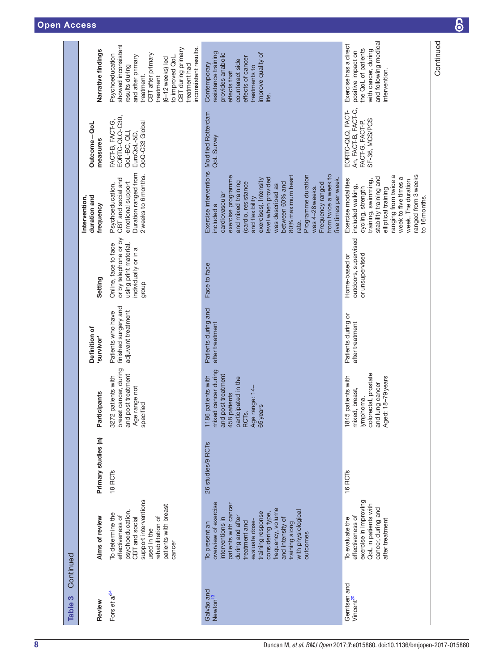Continued

Continued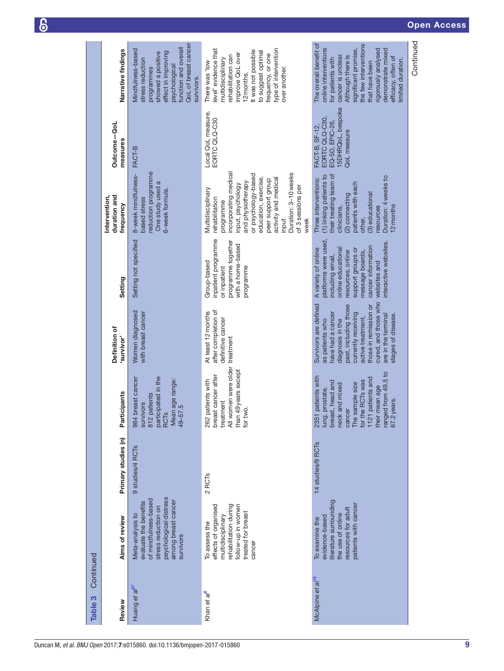|                      | Narrative findings                         | QoL of breast cancer<br>function and overall<br>Mindfulness-based<br>effect in improving<br>showed a positive<br>stress reduction<br>psychological<br>programmes<br>survivors. | type of intervention<br>evel' evidence that<br>It was not possible<br>to suggest optimal<br>improve QoL over<br>frequency, or one<br>rehabilitation can<br>multidisciplinary<br>There was 'low<br>over another.<br>12 months.                                                 | The overall benefit of<br>the few interventions<br>online interventions<br>significant promise,<br>demonstrate mixed<br>rigorously analysed<br>Although there is<br>cancer is unclear.<br>for patients with<br>efficacy, often of<br>limited duration.<br>that have been |
|----------------------|--------------------------------------------|--------------------------------------------------------------------------------------------------------------------------------------------------------------------------------|-------------------------------------------------------------------------------------------------------------------------------------------------------------------------------------------------------------------------------------------------------------------------------|--------------------------------------------------------------------------------------------------------------------------------------------------------------------------------------------------------------------------------------------------------------------------|
|                      | Outcome-QoL<br>measures                    | FACT-B                                                                                                                                                                         | Local QoL measure,<br>EORTC QLQ-C30                                                                                                                                                                                                                                           | 15DHRQoL, bespoke<br>EORTC QLQ-C30,<br>EQ-5D, EPIC-26,<br>FACT-B, SF-12,<br><b>QoL</b> measure                                                                                                                                                                           |
|                      | duration and<br>Intervention,<br>frequency | eduction programme<br>8-week mindfulness-<br>One study used a<br>6-week formula.<br>based stress                                                                               | incorporating medical<br>Duration: 3-10weeks<br>or psychology-based<br>education, exercise,<br>activity and medical<br>peer support group<br>and physiotherapy<br>input, psychology<br>of 3 sessions per<br>Multidisciplinary<br>rehabilitation<br>programme<br>week<br>input | (1) linking patients to<br>their treating team of<br>Duration: 4 weeks to<br>Three interventions:<br>patients with each<br>(3) educational<br>(2) connecting<br>2 months<br>esources<br>clinicians,<br>other,                                                            |
|                      | Setting                                    | Setting not specified                                                                                                                                                          | inpatient programme<br>programme together<br>with a home-based<br>Group-based<br>programme<br>or inpatient                                                                                                                                                                    | platforms were used,<br>nteractive websites.<br>cancer information<br>A variety of online<br>online educational<br>support groups or<br>resources, online<br>message boards,<br>including email,<br>websites and                                                         |
|                      | Definition of<br>'survivor'                | Women diagnosed<br>with breast cancer                                                                                                                                          | after completion of<br>At least 12 months<br>definitive cancer<br>treatment                                                                                                                                                                                                   | cured, and those who<br>Survivors are defined<br>past, including those<br>those in remission or<br>currently receiving<br>have had a cancer<br>are in the terminal<br>stages of disease<br>active treatment,<br>diagnosis in the<br>as patients who                      |
|                      | Participants                               | participated in the<br>breast cancer<br>Mean age range:<br>patients<br>survivors<br>$49 - 57.5$<br>RCT <sub>S</sub><br>964<br>812                                              | All women were older<br>than 49 years except<br>breast cancer after<br>patients with<br>treatment<br>for two.<br>262                                                                                                                                                          | ranged from 49.5 to<br>67.2 years.<br>2351 patients with<br>1121 patients and<br>for the RCTs was<br>breast, head and<br>The sample size<br>neck and mixed<br>their mean age<br>lung, prostate,<br>cancer                                                                |
|                      | Primary studies (n)                        | 9 studies/4 RCTs                                                                                                                                                               | 2 RCT <sub>s</sub>                                                                                                                                                                                                                                                            | 14 studies/9 RCTs                                                                                                                                                                                                                                                        |
|                      | Aims of review                             | psychological distress<br>of mindfulness-based<br>among breast cancer<br>evaluate the benefits<br>stress reduction on<br>Meta-analysis to<br>survivors                         | ehabilitation during<br>effects of organised<br>follow-up in women<br>treated for breast<br>multidisciplinary<br>To assess the<br>cancer                                                                                                                                      | literature surrounding<br>patients with cancer<br>resources for adult<br>the use of online<br>evidence-based<br>To examine the                                                                                                                                           |
| Continued<br>Table 3 | Review                                     | Huang et a $l^{27}$                                                                                                                                                            | Khan et al <sup>8</sup>                                                                                                                                                                                                                                                       | McAlpine et al <sup>15</sup>                                                                                                                                                                                                                                             |

Duncan M, *et al*. *BMJ Open* 2017; 7:e015860. doi:10.1136/bmjopen-2017-015860

 $\overline{6}$ 

Continued

Continued

9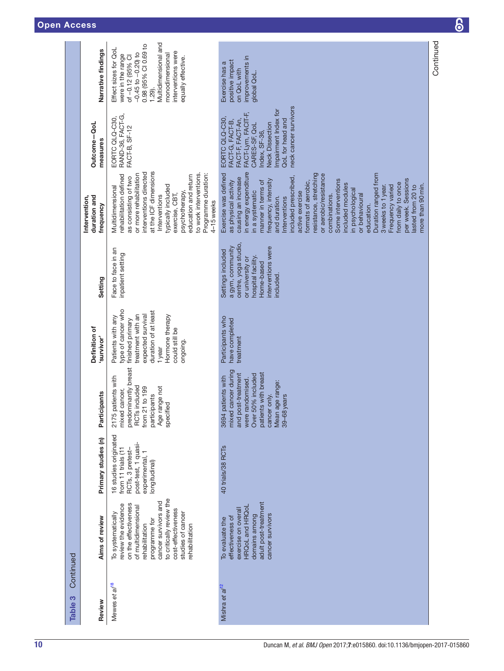| Continued<br>Table 3       |                                                                                                                                                                                                                                             |                                                                                                                            |                                                                                                                                                                                       |                                                                                                                                                                                        |                                                                                                                                                         |                                                                                                                                                                                                                                                                                                                                                                                                                                                                                                                                                                                             |                                                                                                                                                                                                              |                                                                                                                                                                                                                     |
|----------------------------|---------------------------------------------------------------------------------------------------------------------------------------------------------------------------------------------------------------------------------------------|----------------------------------------------------------------------------------------------------------------------------|---------------------------------------------------------------------------------------------------------------------------------------------------------------------------------------|----------------------------------------------------------------------------------------------------------------------------------------------------------------------------------------|---------------------------------------------------------------------------------------------------------------------------------------------------------|---------------------------------------------------------------------------------------------------------------------------------------------------------------------------------------------------------------------------------------------------------------------------------------------------------------------------------------------------------------------------------------------------------------------------------------------------------------------------------------------------------------------------------------------------------------------------------------------|--------------------------------------------------------------------------------------------------------------------------------------------------------------------------------------------------------------|---------------------------------------------------------------------------------------------------------------------------------------------------------------------------------------------------------------------|
| Review                     | Aims of review                                                                                                                                                                                                                              | Primary studies (n)                                                                                                        | Participants                                                                                                                                                                          | Definition of<br>survivor'                                                                                                                                                             | Setting                                                                                                                                                 | duration and<br>Intervention,<br>frequency                                                                                                                                                                                                                                                                                                                                                                                                                                                                                                                                                  | Outcome-QoL<br>measures                                                                                                                                                                                      | Narrative findings                                                                                                                                                                                                  |
| Mewes et al <sup>18</sup>  | to critically review the<br>cancer survivors and<br>on the effectiveness<br>review the evidence<br>of multidimensional<br>cost-effectiveness<br>studies of cancer<br>To systematically<br>programme for<br>rehabilitation<br>rehabilitation | 16 studies originated<br>post-test, 1 quasi-<br>from 11 trials (11<br>RCTs, 3 pretest-<br>experimental, 1<br>longitudinal) | predominantly breast<br>patients with<br>RCTs included<br>from 21 to 199<br>Age range not<br>mixed cancer,<br>participants<br>specified<br>2175                                       | type of cancer who<br>duration of at least<br>treatment with an<br>expected survival<br>Hormone therapy<br>Patients with any<br>finished primary<br>could still be<br>ongoing<br>1year | Face to face in an<br>inpatient setting                                                                                                                 | at the ICF dimensions<br>interventions directed<br>or more rehabilitation<br>to work interventions.<br>Programme duration:<br>rehabilitation defined<br>education and return<br>as consisting of two<br>typically included<br>Multidimensional<br>psychotherapy,<br>exercise, CBT,<br>Interventions<br>4-15weeks                                                                                                                                                                                                                                                                            | RAND-36, FACT-G,<br>EORTC QLQ-C30,<br>FACT-B, SF-12                                                                                                                                                          | Multidimensional and<br>0.98 (95% CI 0.69 to<br>Effect sizes for QoL<br>interventions were<br>$-0.45$ to $-0.20$ ) to<br>monodimensional<br>were in the range<br>of -0.12 (95% CI<br>equally effective.<br>$1.29$ . |
| Mishra et al <sup>12</sup> | adult post-treatment<br>HRQoL and HRQol<br>exercise on overall<br>domains among<br>cancer survivors<br>effectiveness of<br>To evaluate the                                                                                                  | 40 trials/38 RCTs                                                                                                          | mixed cancer during<br>patients with breast<br>and post-treatment<br>Over 50% included<br>patients with<br>were randomised.<br>Mean age range:<br>cancer only.<br>39-68 years<br>3694 | Participants who<br>have completed<br>treatment                                                                                                                                        | centre, yoga studio,<br>a gym, community<br>interventions were<br>Settings included<br>nospital facility.<br>or university or<br>Home-based<br>included | in energy expenditure<br>Duration ranged from<br>Exercise was defined<br>resistance, stretching<br>or aerobic/resistance<br>included prescribed,<br>causing an increase<br>per week. Sessions<br>Some interventions<br>frequency, intensity<br>as physical activity<br>manner in terms of<br>formats of aerobic,<br>from daily to once<br>included modules<br>more than 90 min.<br>3 weeks to 1 year.<br>Frequency varied<br>lasted from 20 to<br>in psychological<br>in a systematic<br>active exercise<br>combinations.<br>or behavioural<br>and duration.<br>Interventions<br>education. | neck cancer survivors<br>Impairment Index for<br>FACT-Lym, FACIT-F,<br>EORTC QLQ-C30,<br>FACT-G, FACT-B,<br>FACT-F, FACT-An,<br>QoL for head and<br><b>Neck Dissection</b><br>CARES-SF, QoL<br>Index, SF-36, | improvements in<br>positive impact<br>Exercise has a<br>on QoL with<br>global QoL                                                                                                                                   |
|                            |                                                                                                                                                                                                                                             |                                                                                                                            |                                                                                                                                                                                       |                                                                                                                                                                                        |                                                                                                                                                         |                                                                                                                                                                                                                                                                                                                                                                                                                                                                                                                                                                                             |                                                                                                                                                                                                              | Continued                                                                                                                                                                                                           |

 $\delta$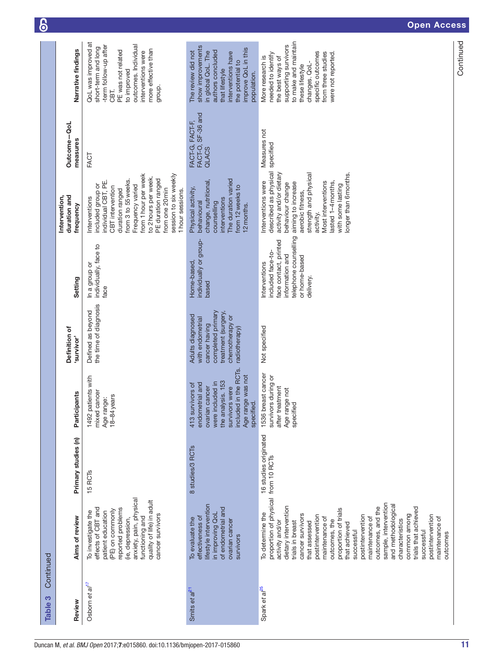| Continued<br>က<br><b>Table</b> |                                                                                                                                                                                                                                                                                                                                                                                                                                                                                                               |                       |                                                                                                                                                                              |                                                                                                                                       |                                                                                                                                       |                                                                                                                                                                                                                                                                                   |                                               |                                                                                                                                                                                                                 |
|--------------------------------|---------------------------------------------------------------------------------------------------------------------------------------------------------------------------------------------------------------------------------------------------------------------------------------------------------------------------------------------------------------------------------------------------------------------------------------------------------------------------------------------------------------|-----------------------|------------------------------------------------------------------------------------------------------------------------------------------------------------------------------|---------------------------------------------------------------------------------------------------------------------------------------|---------------------------------------------------------------------------------------------------------------------------------------|-----------------------------------------------------------------------------------------------------------------------------------------------------------------------------------------------------------------------------------------------------------------------------------|-----------------------------------------------|-----------------------------------------------------------------------------------------------------------------------------------------------------------------------------------------------------------------|
| Review                         | Aims of review                                                                                                                                                                                                                                                                                                                                                                                                                                                                                                | Primary studies (n)   | Participants                                                                                                                                                                 | Definition of<br>'survivor'                                                                                                           | Setting                                                                                                                               | duration and<br>Intervention,<br>frequency                                                                                                                                                                                                                                        | Outcome-QoL<br>measures                       | Narrative findings                                                                                                                                                                                              |
| Osborn et al <sup>17</sup>     | anxiety, pain, physical<br>quality of life) in adult<br>effects of CBT and<br>reported problems<br>(PE) on commonly<br>To investigate the<br>patient education<br>cancer survivors<br>functioning and<br>(ie, depression,                                                                                                                                                                                                                                                                                     | 15 <sub>RCTs</sub>    | patients with<br>mixed cancer<br>18-84years<br>Age range:<br>1492                                                                                                            | the time of diagnosis<br>Defined as beyond                                                                                            | individually, face to<br>In a group or<br>face                                                                                        | from 1 hour per week<br>session to six weekly<br>to 2 hours per week.<br>PE duration ranged<br>from 3 to 55 weeks.<br>individual CBT, PE.<br>included group or<br>Frequency varied<br>CBT intervention<br>from one 20 min<br>duration ranged<br>1 hour sessions.<br>Interventions | FACT                                          | QoL was improved at<br>outcomes. Individual<br>-term follow-up after<br>short-term and long<br>more effective than<br>PE was not related<br>interventions were<br>to improved<br>group.<br>CBT.                 |
| Smits et al <sup>21</sup>      | lifestyle intervention<br>of endometrial and<br>in improving QoL<br>effectiveness of<br>To evaluate the<br>ovarian cancer<br>survivors                                                                                                                                                                                                                                                                                                                                                                        | 8 studies/3 RCTs      | included in the RCTs.<br>Age range was not<br>the analysis. 153<br>were included in<br>413 survivors of<br>endometrial and<br>survivors were<br>ovarian cancer<br>specified. | completed primary<br>treatment (surgery,<br>Adults diagnosed<br>chemotherapy or<br>with endometrial<br>cancer having<br>radiotherapy) | individually or group-<br>Home-based<br>based                                                                                         | The duration varied<br>change, nutritional,<br>from 12 weeks to<br>Physical activity,<br>interventions<br>behavioural<br>counselling<br>12 months.                                                                                                                                | FACT-O, SF-36 and<br>FACT-G, FACT-F,<br>QLACS | show improvements<br>improve QoL in this<br>The review did not<br>authors concluded<br>n global QoL. The<br>interventions have<br>the potential to<br>that lifestyle<br>population.                             |
| Spark et al <sup>25</sup>      | proportion of physical from 10 RCTs<br>sample, intervention<br>and methodological<br>dietary intervention<br>outcomes, and the<br>trials that achieved<br>proportion of trials<br>To determine the<br>cancer survivors<br>common among<br>postintervention<br>postintervention<br>postintervention<br>maintenance of<br>maintenance of<br>maintenance of<br>outcomes, the<br>characteristics<br>trials in breast<br>that assessed<br>activity and/or<br>that achieved<br>successful<br>successful<br>outcomes | 16 studies originated | 1536 breast cancer<br>survivors during or<br>after treatment<br>Age range not<br>specified                                                                                   | Not specified                                                                                                                         | telephone counselling<br>face contact, printed<br>included face-to-<br>information and<br>or home-based<br>Interventions<br>delivery. | described as physical<br>activity and/or dietary<br>strength and physical<br>longer than 6 months.<br>Most interventions<br>lasted 1-4 months,<br>Interventions were<br>aiming to increase<br>behaviour change<br>with some lasting<br>aerobic fitness,<br>activity.              | Measures not<br>specified                     | to make and maintain<br>supporting survivors<br>specific outcomes<br>from three studies<br>were not reported.<br>needed to identify<br>More research is<br>the best ways of<br>changes. QoL-<br>these lifestyle |
|                                |                                                                                                                                                                                                                                                                                                                                                                                                                                                                                                               |                       |                                                                                                                                                                              |                                                                                                                                       |                                                                                                                                       |                                                                                                                                                                                                                                                                                   |                                               | Continued                                                                                                                                                                                                       |

6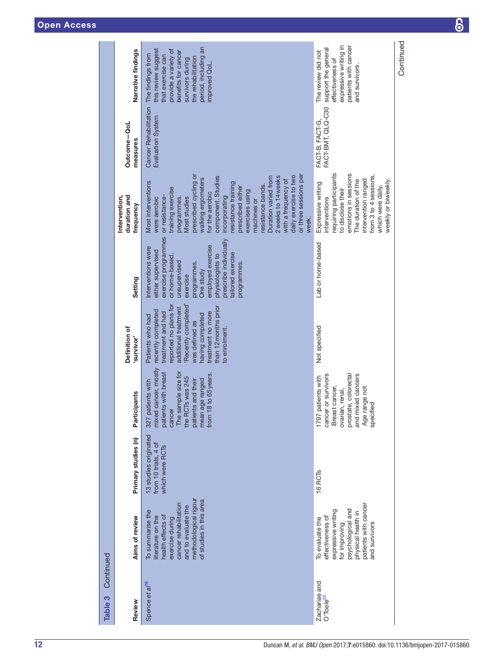| Continued<br>Table 3                   |                                                                                                                                                                                   |                                                                  |                                                                                                                                                                                         |                                                                                                                                                                                                                                         |                                                                                                                                                                                                                                                 |                                                                                                                                                                                                                                                                                                                                                                                                                                                      |                                                   |                                                                                                                                                                                                |
|----------------------------------------|-----------------------------------------------------------------------------------------------------------------------------------------------------------------------------------|------------------------------------------------------------------|-----------------------------------------------------------------------------------------------------------------------------------------------------------------------------------------|-----------------------------------------------------------------------------------------------------------------------------------------------------------------------------------------------------------------------------------------|-------------------------------------------------------------------------------------------------------------------------------------------------------------------------------------------------------------------------------------------------|------------------------------------------------------------------------------------------------------------------------------------------------------------------------------------------------------------------------------------------------------------------------------------------------------------------------------------------------------------------------------------------------------------------------------------------------------|---------------------------------------------------|------------------------------------------------------------------------------------------------------------------------------------------------------------------------------------------------|
| Review                                 | Aims of review                                                                                                                                                                    | Primary studies (n)                                              | Participants                                                                                                                                                                            | Definition of<br>survivor'                                                                                                                                                                                                              | Setting                                                                                                                                                                                                                                         | Intervention,<br>duration and<br>frequency                                                                                                                                                                                                                                                                                                                                                                                                           | Outcome-QoL<br>measures                           | Narrative findings                                                                                                                                                                             |
| Spence et al <sup>16</sup>             | methodological rigour<br>of studies in this area<br>cancer rehabilitation<br>and to evaluate the<br>To summarise the<br>health effects of<br>literature on the<br>exercise during | 13 studies originated<br>from 10 trials, 4 of<br>which were RCTs | mixed cancer, mostly<br>The sample size for<br>the RCTs was 245<br>patients with breast<br>from 18 to 65 years.<br>mean age ranged<br>327 patients with<br>patients and their<br>cancer | reported no plans for<br>Recently completed'<br>than 12 months prior<br>additional treatment<br>recently completed<br>treatment and had<br>treatment no more<br>having completed<br>Patients who had<br>was defined as<br>to enrolment. | exercise programmes<br>prescribe individually<br>employed exercise<br>Interventions were<br>either supervised<br>tailored exercise<br>or home-based,<br>physiologists to<br>unsupervised<br>programmes.<br>programmes.<br>One study<br>exercise | prescribed cycling or<br>or three sessions per<br>daily exercise to two<br>2 weeks to 14 weeks<br>component. Studies<br>Duration varied from<br>walking ergometers<br>with a frequency of<br>Most interventions<br>esistance training<br>resistance bands.<br>prescribed either<br>training exercise<br>exercises using<br>for the aerobic<br>or resistance-<br>incorporating<br>programmes.<br>Most studies<br>were aerobic<br>machines or<br>week. | <b>Cancer Rehabilitation</b><br>Evaluation System | period, including an<br>this review suggest<br>provide a variety of<br>benefits for cancer<br>The findings from<br>that exercise can<br>the rehabilitation<br>survivors during<br>improved QoL |
| Zachariae and<br>O'Toole <sup>22</sup> | patients with cancer<br>psychological and<br>expressive writing<br>physical health in<br>effectiveness of<br>To evaluate the<br>and survivors<br>for improving                    | 16 <sub>RCTs</sub>                                               | prostate, colorectal<br>cancer or survivors<br>and mixed cancers<br>1797 patients with<br>Breast cancer,<br>Age range not<br>ovarian, renal,<br>specified                               | Not specified                                                                                                                                                                                                                           | Lab or home-based                                                                                                                                                                                                                               | emotions in sessions<br>requiring participants<br>from 3 to 4 sessions,<br>The duration of the<br>intervention ranged<br>weekly or biweekly.<br>Expressive writing<br>which were daily,<br>to disclose their<br>interventions                                                                                                                                                                                                                        | FACT-BMT, QLQ-C30<br>FACT-B, FACT-G,              | expressive writing in<br>patients with cancer<br>support the general<br>The review did not<br>effectiveness of<br>and survivors.                                                               |
|                                        |                                                                                                                                                                                   |                                                                  |                                                                                                                                                                                         |                                                                                                                                                                                                                                         |                                                                                                                                                                                                                                                 |                                                                                                                                                                                                                                                                                                                                                                                                                                                      |                                                   | Continued                                                                                                                                                                                      |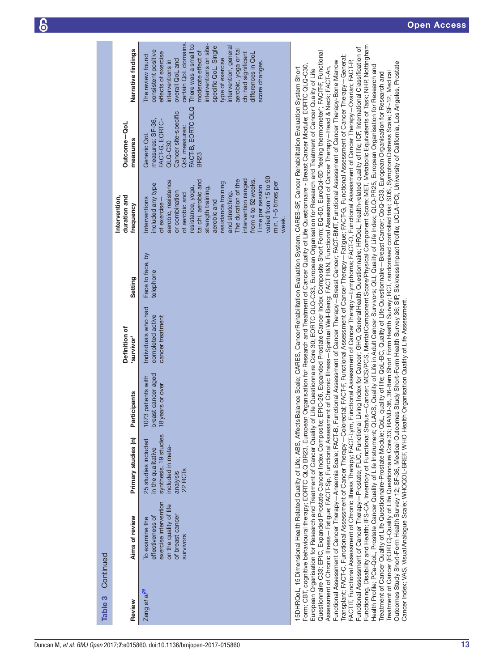| <b>Table 3</b> Continued |                                                                                                                        |                                                                                                                                                                                           |                                                              |                                                             |                               |                                                                                                                                                                                                                                                                                                                                                                                           |                                                                                                                                           |                                                                                                                                                                                                                                                                                                                                                                   |
|--------------------------|------------------------------------------------------------------------------------------------------------------------|-------------------------------------------------------------------------------------------------------------------------------------------------------------------------------------------|--------------------------------------------------------------|-------------------------------------------------------------|-------------------------------|-------------------------------------------------------------------------------------------------------------------------------------------------------------------------------------------------------------------------------------------------------------------------------------------------------------------------------------------------------------------------------------------|-------------------------------------------------------------------------------------------------------------------------------------------|-------------------------------------------------------------------------------------------------------------------------------------------------------------------------------------------------------------------------------------------------------------------------------------------------------------------------------------------------------------------|
| Review                   | Aims of review                                                                                                         | Primary studies (n)                                                                                                                                                                       | Participants                                                 | Definition of<br>'survivor'                                 | Setting                       | Intervention,<br>duration and<br>frequency                                                                                                                                                                                                                                                                                                                                                | Outcome-QoL<br>measures                                                                                                                   | Narrative findings                                                                                                                                                                                                                                                                                                                                                |
| Zeng et al <sup>26</sup> | exercise intervention<br>on the quality of life<br>of breast cancer<br>effectiveness of<br>To examine the<br>survivors | synthesis, 19 studies<br>25 studies included<br>included in meta-<br>in the qualitative<br>22 RCT <sub>s</sub><br>analysis                                                                | breast cancer aged<br>1073 patients with<br>18 years or over | Individuals who had<br>completed active<br>cancer treatment | Face to face, by<br>telephone | varied from 15 to 90<br>intervention ranged<br>from 4 to 52 weeks.<br>The duration of the<br>aerobic, resistance<br>tai chi, aerobic and<br>resistance training<br>min, 1-5 times per<br>included any type<br>Time per session<br>strength training,<br>resistance, yoga,<br>or combination<br>and stretching.<br>of aerobic and<br>Interventions<br>of exercise-<br>aerobic and<br>week. | FACT-B, EORTC QLQ<br>Cancer site-specific<br>FACT-G, EORTC-<br>measures: SF-36,<br>QoL measures:<br>Generic QoL<br>QLQ-C30<br><b>BR23</b> | certain QoL domains.<br>interventions on site-<br>There was a small to<br>specific QoL. Single<br>intervention, general<br>aerobic, yoga or tai<br>consistent positive<br>moderate effect of<br>effects of exercise<br>chi had significant<br>differences in QoL<br>The review found<br>type of exercise<br>overall QoL and<br>interventions in<br>score changes. |
|                          |                                                                                                                        | 5DHRQoL, 15 Dimensional Health Related Quality of Life; ABS, AffectsBalance Scale; CARES, CancerRehabilitation Evaluation System; CARES-SF, Cancer Rehabilitation Evaluation System Short |                                                              |                                                             |                               |                                                                                                                                                                                                                                                                                                                                                                                           |                                                                                                                                           |                                                                                                                                                                                                                                                                                                                                                                   |

Functioning, Disability and Health; IFS-CA, Inventory of Functional Status—Cancer; MCS/PCS, Mental Component Score/Physical Component Score; MET, Metabolic Equivalents of Task; NHP, Nottingham Functioning, Disability and Health; IFS-CA, Inventory of Functional Status—Cancer; MCS/PCS, MentalComponent Score/Physical Component Score; MET, Metabolic Equivalents of Task; NHP, Nottingham Functional Assessment of Cancer Therapy-Prostate; FLIC, Functional Living Index for Cancer; GHQ, General Health Questionnaire; HRQoL, Health-related quality of life; ICF, International Classification of Functional Assessment of Cancer Therapy—Prostate; FLIC, Functional Living Index for Cancer; GHQ, GeneralHealth Questionnaire; HRQoL, Health-related quality of life; ICF, International Classification of Questionnaire C33; EPIC, Expanded Prostate Cancer Index Composite; EPIC-26, Expanded Prostate Cancer Index Composite Short Form; EQ-5D, EuroQol-5D 'feeling thermometer'; FACIT-F, Functional Questionnaire C33; EPIC, Expanded Prostate Cancer Index Composite; EPIC-26, Expanded Prostate Cancer Index Composite Short Form; EQ-5D, EuroQol-5D 'feeling thermometer'; FACIT-F, Functional Transplant; FACT-C, Functional Assessment of Cancer Therapy—Colorectal; FACT-F, Functional Assessment of Cancer Therapy—Fatigue; FACT-G, Functional Assessment of Cancer Therapy—General; Transplant; FACT-C, Functional Assessment of Cancer Therapy-Colorectal; FACT-F, Functional Assessment of Cancer Therapy-Fatigue; FACT-G, Functional Assessment of Cancer Therapy-General; Functional Assessment of Cancer Therapy—Anaemia Scale; FACT-B, Functional Assessment of Cancer Therapy—Breast Cancer; FACT-BMT, Functional Assessment of Cancer Therapy-Bone Marrow Functional Assessment of Cancer Therapy—Anaemia Scale; FACT-B, Functional Assessment of Cancer Therapy—Breast Cancer; FACT-BMT, Functional Assessment of Cancer Therapy-Bone Marrow FACTIT, Functional Assessment of Chronic Illness Therapy; FACT-Lym, Functional Assessment of Cancer Therapy—Lymphoma; FACT-O, Functional Assessment of Cancer Therapy—Ovarian; FACT-P, FACTIT, Functional Assessment of Chronic Illness Therapy; FACT-Lym, Functional Assessment of Cancer Therapy – Lymphoma; FACT-O, Functional Assessment of Cancer Therapy – Ovarian; FACT-P, Outcomes Study Short-Form Health Survey 12; SF-36, Medical Outcomes Study Short-Form Health Survey 36; SIP, Sickness Impact Profile; UCLA-PCI, University of California, Los Angeles, Prostate Outcomes Study Short-Form Health Survey 12; SF-36, Medical Outcomes Study Short-Form Health Survey 36; SIP, SicknessImpact Profile; UCLA-PCI, University of California, Los Angeles, Prostate Form; CBT, cognitive behavioural therapy; EORTC QLQ BR23, European Organisation for Research and Treatment of Cancer Quality of Life Questionnaire - Breast Cancer Module; EORTC QLQ-C30, Health Profile; PCa-QoL, Prostate Cancer Quality of Life Instrument; QLACS, Quality of Life in Adult Cancer Survivors; QLI, Quality of Life Index; QLQ-PR25, European Organisation for Research and Health Profile; PCa-QoL, Prostate Cancer Quality of Life Instrument; QLACS, Quality of Life in Adult Cancer Survivors; QLI, Quality of Life Index; QLQ-PR25, European Organisation for Research and Form: CBT, coqnitive behavioural therapy: EORTC QLQ BR23, European Organisation for Research and Treatment of Cancer Quality of Life Questionnaire - Breast Cancer Module: EORTC QLQ-C30, Assessment of Chronic Illness-Fatigue; FACIT-Sp, Functional Assessment of Chronic Illness-Spiritual Well-Being; FACT H&N, Functional Assessment of Cancer Therapy-Head & Neck; FACT-An, Assessment of Chronic Illness—Fatigue; FACIT-Sp, Functional Assessment of Chronic Illness—Spiritual Well-Being; FACT H&N, Functional Assessment of Cancer Therapy—Head & Neck; FACT-An, European Organisation for Research and Treatment of Cancer Quality of Life Questionnaire Core 30; EORTC QLQ-C33, European Organisation for Research and Treatment of Cancer Quality of Life European Organisation for Research and Treatment of Cancer Quality of Life Questionnaire Core 30; EORTC QLQ-C33, European Organisation for Research and Treatment of Cancer Quality of Life Treatment of Cancer (EORTC)-Qualify of LIfe Questionnaire Core 33; RAND-36, 36-Item Short Form Health Survey; RCT, randomised controlled trial; SDS, SymptomDistress Scale; SF-12, Medical Treatment of Cancer Quality of Life Questionnaire-Prostate Module; QoL, quality of life; QoL-BC, Quality of Life Questionnaire—Breast Cancer; QoQ-C33, European Organisation for Research and Treatment of Cancer (EORTC)-Qualify of Life Questionnaire Core 33; RAND-36, 36-Item Short Form Health Survey; RCT, randomised controlled trial; SDS, Symptom Distress Scale; SF-12, Medical Treatment of Cancer Quality of Life Questionnaire-Prostate Module; QoL, quality of life; QoL-BC, Quality of Life Questionnaire-Breast Cancer; QoQ-C33, European Organisation for Research and Cancer Index; VAS, Visual Analogue Scale; WHOQOL-BREF, WHO Health Organisation Quality of Life Assessment. Cancer Index; VAS, VisualAnalogue Scale; WHOQOL-BREF, WHO Health Organisation Quality of Life Assessment.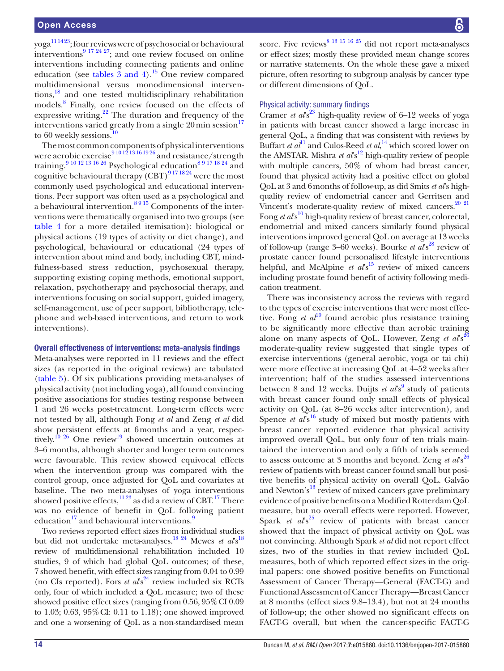$yoga<sup>111423</sup>$ ; four reviews were of psychosocial or behavioural interventions<sup>9 17 24 27</sup>; and one review focused on online interventions including connecting patients and online education (see tables  $3$  and  $4$ ).<sup>[15](#page-20-18)</sup> One review compared multidimensional versus monodimensional interventions[,18](#page-20-19) and one tested multidisciplinary rehabilitation models[.8](#page-20-17) Finally, one review focused on the effects of expressive writing. $22$  The duration and frequency of the interventions varied greatly from a single  $20 \text{ min}$  session<sup>17</sup> to 60 weekly sessions. $10$ 

The most common components of physical interventions were aerobic exercise<sup>9 10 12 13 16 19 26</sup> and resistance/strength training.<sup>9 10 12 13 16 26</sup> Psychological education<sup>8 9 17</sup> <sup>18 24</sup> and cognitive behavioural therapy  $(CBT)^{9171824}$  were the most commonly used psychological and educational interventions. Peer support was often used as a psychological and a behavioural intervention.<sup>8 9 15</sup> Components of the interventions were thematically organised into two groups (see [table](#page-14-0) 4 for a more detailed itemisation): biological or physical actions (19 types of activity or diet change), and psychological, behavioural or educational (24 types of intervention about mind and body, including CBT, mindfulness-based stress reduction, psychosexual therapy, supporting existing coping methods, emotional support, relaxation, psychotherapy and psychosocial therapy, and interventions focusing on social support, guided imagery, self-management, use of peer support, bibliotherapy, telephone and web-based interventions, and return to work interventions).

#### Overall effectiveness of interventions: meta-analysis findings

Meta-analyses were reported in 11 reviews and the effect sizes (as reported in the original reviews) are tabulated ([table](#page-17-0) 5). Of six publications providing meta-analyses of physical activity (not including yoga), all found convincing positive associations for studies testing response between 1 and 26 weeks post-treatment. Long-term effects were not tested by all, although Fong *et al* and Zeng *et al* did show persistent effects at 6months and a year, respectively.<sup>10 26</sup> One review<sup>19</sup> showed uncertain outcomes at 3–6 months, although shorter and longer term outcomes were favourable. This review showed equivocal effects when the intervention group was compared with the control group, once adjusted for QoL and covariates at baseline. The two meta-analyses of yoga interventions showed positive effects,  $11\,23$  as did a review of CBT.<sup>17</sup> There was no evidence of benefit in QoL following patient education<sup>17</sup> and behavioural interventions.<sup>9</sup>

Two reviews reported effect sizes from individual studies but did not undertake meta-analyses.<sup>[18](#page-20-19) 24</sup> Mewes *et al*<sup>8</sup><sup>18</sup> review of multidimensional rehabilitation included 10 studies, 9 of which had global QoL outcomes; of these, 7 showed benefit, with effect sizes ranging from 0.04 to 0.99 (no CIs reported). Fors *et al*<sup>24</sup> review included six RCTs only, four of which included a QoL measure; two of these showed positive effect sizes (ranging from 0.56, 95% CI 0.09) to 1.03; 0.63, 95%CI: 0.11 to 1.18); one showed improved and one a worsening of QoL as a non-standardised mean

score. Five reviews<sup>8 13 15 16 25</sup> did not report meta-analyses or effect sizes; mostly these provided mean change scores or narrative statements. On the whole these gave a mixed picture, often resorting to subgroup analysis by cancer type or different dimensions of QoL.

# Physical activity: summary findings

Cramer *et al*<sup>s[23](#page-20-8)</sup> high-quality review of 6–12 weeks of yoga in patients with breast cancer showed a large increase in general QoL, a finding that was consistent with reviews by Buffart *et al*<sup>[11](#page-20-7)</sup> and Culos-Reed *et al*,<sup>14</sup> which scored lower on the AMSTAR. Mishra *et al*<sup>12</sup> high-quality review of people with multiple cancers, 50% of whom had breast cancer, found that physical activity had a positive effect on global QoL at 3 and 6months of follow-up, as did Smits *et al*'s highquality review of endometrial cancer and Gerritsen and Vincent's moderate-quality review of mixed cancers.<sup>20</sup> <sup>21</sup> Fong *et al*<sup>[10](#page-20-12)</sup> high-quality review of breast cancer, colorectal, endometrial and mixed cancers similarly found physical interventions improved general QoL on average at 13 weeks of follow-up (range 3–60 weeks). Bourke *et al*<sup>88</sup> review of prostate cancer found personalised lifestyle interventions helpful, and McAlpine *et al*<sup>[s15](#page-20-18)</sup> review of mixed cancers including prostate found benefit of activity following medication treatment.

There was inconsistency across the reviews with regard to the types of exercise interventions that were most effective. Fong *et al*<sup>10</sup> found aerobic plus resistance training to be significantly more effective than aerobic training alone on many aspects of QoL. However, Zeng *et al*<sup>[26](#page-20-26)</sup><sub>26</sub><sup>26</sup> moderate-quality review suggested that single types of exercise interventions (general aerobic, yoga or tai chi) were more effective at increasing QoL at 4–52 weeks after intervention; half of the studies assessed interventions between 8 and 12 weeks. Duijts *et al*<sup>8</sup> study of patients with breast cancer found only small effects of physical activity on QoL (at 8–26 weeks after intervention), and Spence *et al*<sup>8[16](#page-20-24)</sup> study of mixed but mostly patients with breast cancer reported evidence that physical activity improved overall QoL, but only four of ten trials maintained the intervention and only a fifth of trials seemed to assess outcome at 3 months and beyond. Zeng *et al*<sup>[26](#page-20-26)</sup><sub>26</sub><sup>26</sup> review of patients with breast cancer found small but positive benefits of physical activity on overall QoL. Galvão and Newton's $13$  review of mixed cancers gave preliminary evidence of positive benefits on a Modified Rotterdam QoL measure, but no overall effects were reported. However, Spark *et al*<sup>25</sup> review of patients with breast cancer showed that the impact of physical activity on QoL was not convincing. Although Spark *et al* did not report effect sizes, two of the studies in that review included QoL measures, both of which reported effect sizes in the original papers: one showed positive benefits on Functional Assessment of Cancer Therapy—General (FACT-G) and Functional Assessment of Cancer Therapy—Breast Cancer at 8 months (effect sizes 9.8–13.4), but not at 24 months of follow-up; the other showed no significant effects on FACT-G overall, but when the cancer-specific FACT-G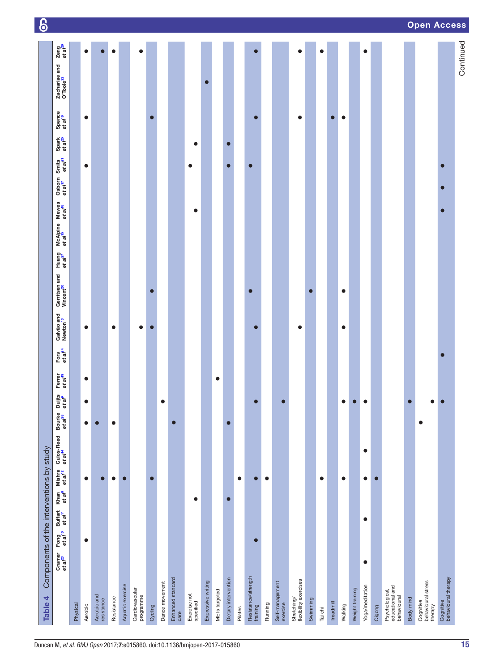<span id="page-14-0"></span>

| Table 4                                          | Components of the interventions by study               |                                                              |                               |                                   |                               |                              |                               |                             |                                    |                                        |                              |                                 |                              |                                                         |           |                              |                               |                                        |                             | <u>စ</u>           |
|--------------------------------------------------|--------------------------------------------------------|--------------------------------------------------------------|-------------------------------|-----------------------------------|-------------------------------|------------------------------|-------------------------------|-----------------------------|------------------------------------|----------------------------------------|------------------------------|---------------------------------|------------------------------|---------------------------------------------------------|-----------|------------------------------|-------------------------------|----------------------------------------|-----------------------------|--------------------|
|                                                  | Cramer Fong<br>et al <sup>23</sup> et al <sup>10</sup> | Khan<br>et al <sup>e</sup><br>Buffart<br>et a/ <sup>11</sup> | Mishra<br>et a/ <sup>12</sup> | Culos-Reed<br>et al <sup>14</sup> | Bourke<br>et al <sup>28</sup> | Duijts<br>et al <sup>e</sup> | Ferrer<br>et al <sup>19</sup> | Fors<br>et al <sup>24</sup> | Galvão and<br>Newton <sup>13</sup> | Gerritsen and<br>Vincent <sup>20</sup> | Huang<br>et al <sup>27</sup> | McAlpine<br>et a/ <sup>15</sup> | Mewes<br>et al <sup>18</sup> | Osborn Smits<br>et al <sup>17</sup> et al <sup>21</sup> |           | Spark<br>et al <sup>25</sup> | Spence<br>et al <sup>16</sup> | Zachariae and<br>O'Toole <sup>22</sup> | Zeng<br>et al <sup>26</sup> |                    |
| Physical                                         |                                                        |                                                              |                               |                                   |                               |                              |                               |                             |                                    |                                        |                              |                                 |                              |                                                         |           |                              |                               |                                        |                             |                    |
| Aerobic                                          | $\bullet$                                              |                                                              | $\bullet$                     |                                   | $\bullet$                     |                              | $\bullet$                     |                             | $\bullet$                          |                                        |                              |                                 |                              |                                                         | $\bullet$ |                              | $\bullet$                     |                                        | $\bullet$                   |                    |
| Aerobic and<br>resistance                        |                                                        |                                                              | $\bullet$                     |                                   | $\bullet$                     |                              |                               |                             |                                    |                                        |                              |                                 |                              |                                                         |           |                              |                               |                                        | Ξ                           |                    |
| Resistance                                       |                                                        |                                                              | $\bullet$                     |                                   | $\bullet$                     |                              |                               |                             | $\bullet$                          |                                        |                              |                                 |                              |                                                         |           |                              |                               |                                        | $\bullet$                   |                    |
| Aquatic exercise                                 |                                                        |                                                              | $\bullet$                     |                                   |                               |                              |                               |                             |                                    |                                        |                              |                                 |                              |                                                         |           |                              |                               |                                        |                             |                    |
| Cardiovascular<br>programme                      |                                                        |                                                              |                               |                                   |                               |                              |                               |                             | $\bullet$                          |                                        |                              |                                 |                              |                                                         |           |                              |                               |                                        | $\bullet$                   |                    |
| Oycling                                          |                                                        |                                                              |                               |                                   |                               |                              |                               |                             | $\bullet$                          |                                        |                              |                                 |                              |                                                         |           |                              | $\bullet$                     |                                        |                             |                    |
| Dance movement                                   |                                                        |                                                              |                               |                                   |                               |                              |                               |                             |                                    |                                        |                              |                                 |                              |                                                         |           |                              |                               |                                        |                             |                    |
| Enhanced standard<br>care                        |                                                        |                                                              |                               |                                   | $\bullet$                     |                              |                               |                             |                                    |                                        |                              |                                 |                              |                                                         |           |                              |                               |                                        |                             |                    |
| Exercise not<br>specified                        |                                                        | $\bullet$                                                    |                               |                                   |                               |                              |                               |                             |                                    |                                        |                              |                                 | $\bullet$                    |                                                         | $\bullet$ | $\bullet$                    |                               |                                        |                             |                    |
| Expressive writing                               |                                                        |                                                              |                               |                                   |                               |                              |                               |                             |                                    |                                        |                              |                                 |                              |                                                         |           |                              |                               | $\bullet$                              |                             |                    |
| METs targeted                                    |                                                        |                                                              |                               |                                   |                               |                              | $\bullet$                     |                             |                                    |                                        |                              |                                 |                              |                                                         |           |                              |                               |                                        |                             |                    |
| Dietary intervention                             |                                                        |                                                              |                               |                                   |                               |                              |                               |                             |                                    |                                        |                              |                                 |                              |                                                         | $\bullet$ | $\bullet$                    |                               |                                        |                             |                    |
| Pilates                                          |                                                        |                                                              | $\bullet$                     |                                   |                               |                              |                               |                             |                                    |                                        |                              |                                 |                              |                                                         |           |                              |                               |                                        |                             |                    |
| Resistance/strength<br>training                  |                                                        |                                                              |                               |                                   |                               |                              |                               |                             |                                    | $\bullet$                              |                              |                                 |                              |                                                         | $\bullet$ |                              |                               |                                        |                             |                    |
| Running                                          |                                                        |                                                              | $\bullet$                     |                                   |                               |                              |                               |                             |                                    |                                        |                              |                                 |                              |                                                         |           |                              |                               |                                        |                             |                    |
| Self-management<br>exercise                      |                                                        |                                                              |                               |                                   |                               |                              |                               |                             |                                    |                                        |                              |                                 |                              |                                                         |           |                              |                               |                                        |                             |                    |
| Stretching/<br>flexibility exercises             |                                                        |                                                              |                               |                                   |                               |                              |                               |                             | $\bullet$                          |                                        |                              |                                 |                              |                                                         |           |                              | $\bullet$                     |                                        | $\bullet$                   |                    |
| Swimming                                         |                                                        |                                                              |                               |                                   |                               |                              |                               |                             |                                    |                                        |                              |                                 |                              |                                                         |           |                              |                               |                                        |                             |                    |
| Tai chi                                          |                                                        |                                                              | $\bullet$                     |                                   |                               |                              |                               |                             |                                    |                                        |                              |                                 |                              |                                                         |           |                              |                               |                                        | $\bullet$                   |                    |
| Treadmill                                        |                                                        |                                                              |                               |                                   |                               |                              |                               |                             |                                    |                                        |                              |                                 |                              |                                                         |           |                              | $\bullet$                     |                                        |                             |                    |
| Walking                                          |                                                        |                                                              | $\bullet$                     |                                   |                               |                              |                               |                             | $\bullet$                          | $\bullet$                              |                              |                                 |                              |                                                         |           |                              | $\bullet$                     |                                        |                             |                    |
| Weight training                                  |                                                        |                                                              |                               |                                   |                               |                              |                               |                             |                                    |                                        |                              |                                 |                              |                                                         |           |                              |                               |                                        |                             |                    |
| Yoga/meditation                                  | $\bullet$                                              | $\bullet$                                                    | $\bullet$                     | $\bullet$                         |                               |                              |                               |                             |                                    |                                        |                              |                                 |                              |                                                         |           |                              |                               |                                        | $\bullet$                   |                    |
| Qigong                                           |                                                        |                                                              | $\bullet$                     |                                   |                               |                              |                               |                             |                                    |                                        |                              |                                 |                              |                                                         |           |                              |                               |                                        |                             |                    |
| Psychological,<br>educational and<br>behavioural |                                                        |                                                              |                               |                                   |                               |                              |                               |                             |                                    |                                        |                              |                                 |                              |                                                         |           |                              |                               |                                        |                             |                    |
| Body mind                                        |                                                        |                                                              |                               |                                   |                               |                              |                               |                             |                                    |                                        |                              |                                 |                              |                                                         |           |                              |                               |                                        |                             |                    |
| Cognitive<br>behavioural stress<br>therapy       |                                                        |                                                              |                               |                                   | $\bullet$                     |                              |                               |                             |                                    |                                        |                              |                                 |                              |                                                         |           |                              |                               |                                        |                             | <b>Open Access</b> |
| Cognitive<br>behavioural therapy                 |                                                        |                                                              |                               |                                   |                               |                              |                               | $\bullet$                   |                                    |                                        |                              |                                 | $\bullet$                    | $\bullet$                                               | $\bullet$ |                              |                               |                                        |                             |                    |
|                                                  |                                                        |                                                              |                               |                                   |                               |                              |                               |                             |                                    |                                        |                              |                                 |                              |                                                         |           |                              |                               | Continued                              |                             |                    |

<u>ା ∩</u>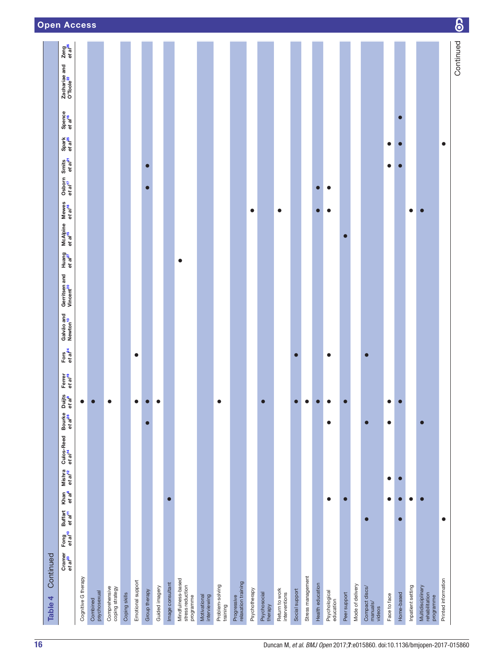|           | <b>Open Access</b>                                      |                     |                          |                                  |               |                   |               |                |                  |                                                    |                              |                             |                                    |               |                         |                                 |                |                   |                  |                            |              |                  |                                      |              |            |                   |                                                  |                     | <u>စ</u>  |
|-----------|---------------------------------------------------------|---------------------|--------------------------|----------------------------------|---------------|-------------------|---------------|----------------|------------------|----------------------------------------------------|------------------------------|-----------------------------|------------------------------------|---------------|-------------------------|---------------------------------|----------------|-------------------|------------------|----------------------------|--------------|------------------|--------------------------------------|--------------|------------|-------------------|--------------------------------------------------|---------------------|-----------|
|           | Zeng<br>et al <sup>26</sup>                             |                     |                          |                                  |               |                   |               |                |                  |                                                    |                              |                             |                                    |               |                         |                                 |                |                   |                  |                            |              |                  |                                      |              |            |                   |                                                  |                     | Continued |
|           | Zachariae and<br>O'Toole <sup>22</sup>                  |                     |                          |                                  |               |                   |               |                |                  |                                                    |                              |                             |                                    |               |                         |                                 |                |                   |                  |                            |              |                  |                                      |              |            |                   |                                                  |                     |           |
|           | Spence<br>et al <sup>16</sup>                           |                     |                          |                                  |               |                   |               |                |                  |                                                    |                              |                             |                                    |               |                         |                                 |                |                   |                  |                            |              |                  |                                      |              | $\bullet$  |                   |                                                  |                     |           |
|           | Spark<br>et al <sup>25</sup>                            |                     |                          |                                  |               |                   |               |                |                  |                                                    |                              |                             |                                    |               |                         |                                 |                |                   |                  |                            |              |                  |                                      | $\bullet$    | $\bullet$  |                   |                                                  | $\bullet$           |           |
|           | Osborn Smits<br>et al <sup>17</sup> et al <sup>21</sup> |                     |                          |                                  |               |                   |               |                |                  |                                                    |                              |                             |                                    |               |                         |                                 |                |                   |                  |                            |              |                  |                                      | $\bullet$    | $\bullet$  |                   |                                                  |                     |           |
|           |                                                         |                     |                          |                                  |               |                   |               |                |                  |                                                    |                              |                             |                                    |               |                         |                                 |                |                   | $\bullet$        | $\bullet$                  |              |                  |                                      |              |            |                   |                                                  |                     |           |
|           | Mewes<br>et a/ <sup>18</sup>                            |                     |                          |                                  |               |                   |               |                |                  |                                                    |                              |                             |                                    | $\bullet$     |                         | $\bullet$                       |                |                   | $\bullet$        | $\bullet$                  |              |                  |                                      |              |            | $\bullet$         |                                                  |                     |           |
|           | McAlpine<br>et al <sup>16</sup>                         |                     |                          |                                  |               |                   |               |                |                  |                                                    |                              |                             |                                    |               |                         |                                 |                |                   |                  |                            | Г            |                  |                                      |              |            |                   |                                                  |                     |           |
|           | Huang<br>et al <sup>27</sup>                            |                     |                          |                                  |               |                   |               |                |                  | $\bullet$                                          |                              |                             |                                    |               |                         |                                 |                |                   |                  |                            |              |                  |                                      |              |            |                   |                                                  |                     |           |
|           | Gerritsen and<br>Vincent <sup>20</sup>                  |                     |                          |                                  |               |                   |               |                |                  |                                                    |                              |                             |                                    |               |                         |                                 |                |                   |                  |                            |              |                  |                                      |              |            |                   |                                                  |                     |           |
|           | Galvão and<br>Newton <sup>13</sup>                      |                     |                          |                                  |               |                   |               |                |                  |                                                    |                              |                             |                                    |               |                         |                                 |                |                   |                  |                            |              |                  |                                      |              |            |                   |                                                  |                     |           |
|           | Fors<br>et al <sup>24</sup>                             |                     |                          |                                  |               | $\bullet$         |               |                |                  |                                                    |                              |                             |                                    |               |                         |                                 |                |                   |                  | $\bullet$                  |              |                  | $\bullet$                            |              |            |                   |                                                  |                     |           |
|           | Ferrer<br>et al <sup>19</sup>                           |                     |                          |                                  |               |                   |               |                |                  |                                                    |                              |                             |                                    |               |                         |                                 |                |                   |                  |                            |              |                  |                                      |              |            |                   |                                                  |                     |           |
|           | Duijts<br>et a <i>l</i> <sup>e</sup>                    |                     |                          |                                  |               |                   |               |                |                  |                                                    |                              |                             |                                    |               |                         |                                 |                |                   |                  |                            |              |                  |                                      |              |            |                   |                                                  |                     |           |
|           | Bourke<br>et al <sup>28</sup>                           |                     |                          |                                  |               |                   |               |                |                  |                                                    |                              |                             |                                    |               |                         |                                 |                |                   |                  | $\bullet$                  |              |                  | Г                                    | $\bullet$    |            |                   |                                                  |                     |           |
|           | Culos-Reed<br>et al <sup>14</sup>                       |                     |                          |                                  |               |                   |               |                |                  |                                                    |                              |                             |                                    |               |                         |                                 |                |                   |                  |                            |              |                  |                                      |              |            |                   |                                                  |                     |           |
|           | Mishra<br>et al <sup>12</sup>                           |                     |                          |                                  |               |                   |               |                |                  |                                                    |                              |                             |                                    |               |                         |                                 |                |                   |                  |                            |              |                  |                                      | $\bullet$    |            |                   |                                                  |                     |           |
|           | Khan<br>et al <sup>8</sup>                              |                     |                          |                                  |               |                   |               |                |                  |                                                    |                              |                             |                                    |               |                         |                                 |                |                   |                  | $\bullet$                  |              |                  |                                      | $\bullet$    | $\bullet$  | $\bullet$         |                                                  |                     |           |
|           | Buffart<br>et al <sup>ri</sup>                          |                     |                          |                                  |               |                   |               |                |                  |                                                    |                              |                             |                                    |               |                         |                                 |                |                   |                  |                            |              |                  | $\bullet$                            |              |            |                   |                                                  | $\bullet$           |           |
|           | Fong<br>et al <sup>10</sup>                             |                     |                          |                                  |               |                   |               |                |                  |                                                    |                              |                             |                                    |               |                         |                                 |                |                   |                  |                            |              |                  |                                      |              |            |                   |                                                  |                     |           |
| Continued | Cramer<br>et al <sup>23</sup>                           |                     |                          |                                  |               |                   |               |                |                  |                                                    |                              |                             |                                    |               |                         |                                 |                |                   |                  |                            |              |                  |                                      |              |            |                   |                                                  |                     |           |
|           |                                                         |                     |                          |                                  |               |                   |               |                |                  |                                                    |                              |                             |                                    |               |                         |                                 |                |                   |                  |                            |              |                  |                                      |              |            |                   |                                                  |                     |           |
| Table 4   |                                                         | Cognitive G therapy | psychosexual<br>Combined | Comprehensive<br>coping strategy | Coping skills | Emotional support | Group therapy | Guided imagery | Image consultant | Mindfulness-based<br>stress reduction<br>programme | Motivational<br>interviewing | Problem-solving<br>training | Progressive<br>relaxation training | Psychotherapy | Psychosocial<br>therapy | Return to work<br>interventions | Social support | Stress management | Health education | Psychological<br>education | Peer support | Mode of delivery | Compact discs/<br>manuals/<br>videos | Face to face | Home-based | Inpatient setting | Multidisciplinary<br>rehabilitation<br>programme | Printed information |           |

Q.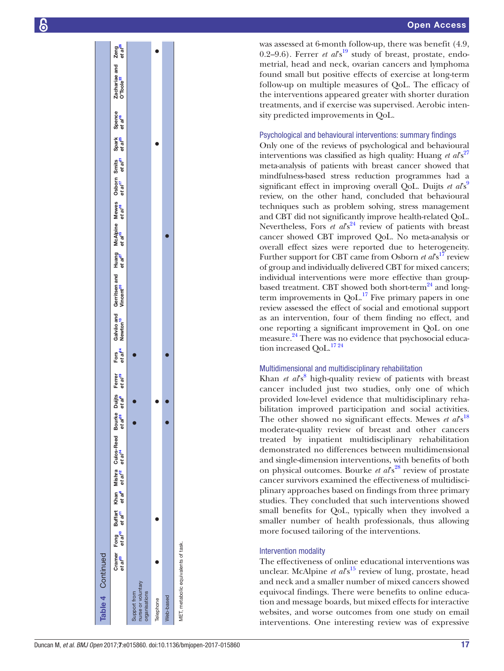was assessed at 6-month follow-up, there was benefit (4.9,  $0.2-9.6$ ). Ferrer *et al*'s<sup>[19](#page-20-11)</sup> study of breast, prostate, endometrial, head and neck, ovarian cancers and lymphoma found small but positive effects of exercise at long-term follow-up on multiple measures of QoL. The efficacy of the interventions appeared greater with shorter duration treatments, and if exercise was supervised. Aerobic inten sity predicted improvements in QoL.

#### Psychological and behavioural interventions: summary findings

Only one of the reviews of psychological and behavioural interventions was classified as high quality: Huang *et al*<sup>27</sup> meta-analysis of patients with breast cancer showed that mindfulness-based stress reduction programmes had a significant effect in improving overall QoL. Duijts *et al*<sup>s[9](#page-20-10)</sup> review, on the other hand, concluded that behavioural techniques such as problem solving, stress management and CBT did not significantly improve health-related QoL. Nevertheless, Fors *et al*<sup>[24](#page-20-13)</sup> review of patients with breast cancer showed CBT improved QoL. No meta-analysis or overall effect sizes were reported due to heterogeneity. Further support for CBT came from Osborn *et al*<sup>17</sup> review of group and individually delivered CBT for mixed cancers; individual interventions were more effective than group-based treatment. CBT showed both short-term<sup>[24](#page-20-13)</sup> and longterm improvements in  $QoL$ <sup>17</sup> Five primary papers in one review assessed the effect of social and emotional support as an intervention, four of them finding no effect, and one reporting a significant improvement in QoL on one measure[.24](#page-20-13) There was no evidence that psychosocial education increased OoL.<sup>1724</sup>

#### Multidimensional and multidisciplinary rehabilitation

Khan *et al*<sup>[8](#page-20-17)</sup> high-quality review of patients with breast cancer included just two studies, only one of which provided low-level evidence that multidisciplinary rehabilitation improved participation and social activities. The other showed no significant effects. Mewes *et al*<sup>8[18](#page-20-19)</sup> moderate-quality review of breast and other cancers treated by inpatient multidisciplinary rehabilitation demonstrated no differences between multidimensional and single-dimension interventions, with benefits of both on physical outcomes. Bourke *et al*<sup>828</sup> review of prostate cancer survivors examined the effectiveness of multidisci plinary approaches based on findings from three primary studies. They concluded that such interventions showed small benefits for QoL, typically when they involved a smaller number of health professionals, thus allowing more focused tailoring of the interventions.

# Intervention modality

The effectiveness of online educational interventions was unclear. McAlpine *et al*<sup>15</sup> review of lung, prostate, head and neck and a smaller number of mixed cancers showed equivocal findings. There were benefits to online education and message boards, but mixed effects for interactive websites, and worse outcomes from one study on email interventions. One interesting review was of expressive

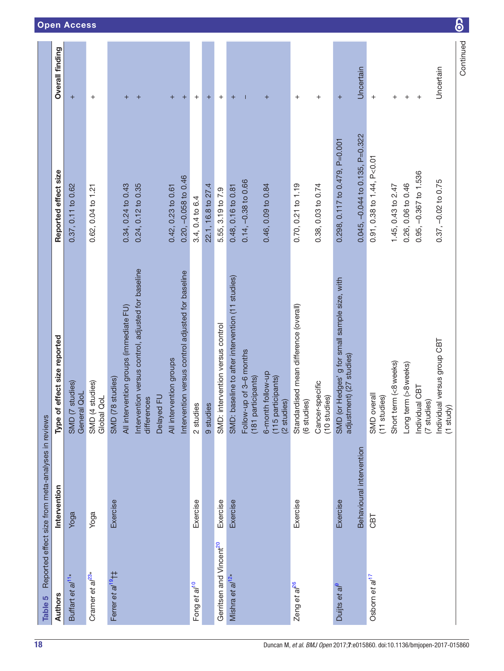| Table 5                             | Reported effect size from meta-analyses in reviews |                                                                                                                                                                                                                               |                                                                                        |                                               |
|-------------------------------------|----------------------------------------------------|-------------------------------------------------------------------------------------------------------------------------------------------------------------------------------------------------------------------------------|----------------------------------------------------------------------------------------|-----------------------------------------------|
| Authors                             | Intervention                                       | Type of effect size reported                                                                                                                                                                                                  | Reported effect size                                                                   | <b>Overall finding</b>                        |
| Buffart et al <sup>11*</sup>        | Yoga                                               | (7 studies)<br>General QoL<br>SMD                                                                                                                                                                                             | 0.37, 0.11 to 0.62                                                                     | $\ddot{}$                                     |
| Cramer et al <sup>23*</sup>         | Yoga                                               | (4 studies)<br>Global QoL<br>SMD                                                                                                                                                                                              | 0.62, 0.04 to 1.21                                                                     | $^{+}$                                        |
| Ferrer et al <sup>19</sup> †‡       | Exercise                                           | Intervention versus control, adjusted for baseline<br>Intervention versus control adjusted for baseline<br>All intervention groups (immediate FU)<br>All intervention groups<br>SMD (78 studies)<br>Delayed FU<br>differences | 0.20, -0.058 to 0.46<br>0.34, 0.24 to 0.43<br>0.24, 0.12 to 0.35<br>0.42, 0.23 to 0.61 | $\ddot{}$<br>$\ddot{}$<br>$\, +$<br>$\ddot{}$ |
| Fong et al <sup>10</sup>            | Exercise                                           | 2 studies<br>9 studies                                                                                                                                                                                                        | 22.1, 16.8 to 27.4<br>3.4, 0.4 to 6.4                                                  | $\ddot{}$<br>$\ddot{}$                        |
| Gerritsen and Vincent <sup>20</sup> | Exercise                                           | SMD: intervention versus control                                                                                                                                                                                              | 5.55, 3.19 to 7.9                                                                      | $\ddot{}$                                     |
| Mishra et al <sup>12*</sup>         | Exercise                                           | SMD: baseline to after intervention (11 studies)<br>Follow-up of 3-6 months<br>(181 participants)                                                                                                                             | $0.14, -0.38$ to 0.66<br>0.48, 0.16 to 0.81                                            | $\ddot{}$                                     |
|                                     |                                                    | 6-month follow-up<br>(115 participants)<br>(2 studies)                                                                                                                                                                        | 0.46, 0.09 to 0.84                                                                     | $\ddot{}$                                     |
| Zeng et al <sup>26</sup>            | Exercise                                           | Standardised mean difference (overall)<br>(6 studies)                                                                                                                                                                         | 0.70, 0.21 to 1.19                                                                     | $\boldsymbol{+}$                              |
|                                     |                                                    | Cancer-specific<br>(10 studies)                                                                                                                                                                                               | 0.38, 0.03 to 0.74                                                                     | $\ddot{}$                                     |
| Duijts et al <sup>9</sup>           | Exercise                                           | SMD (or Hedges' g for small sample size, with<br>adjustment) (27 studies)                                                                                                                                                     | $0.298$ , $0.117$ to $0.479$ , $P=0.001$                                               | $\ddot{}$                                     |
|                                     | Behavioural intervention                           |                                                                                                                                                                                                                               | $0.045, -0.044$ to 0.135, P=0.322                                                      | Uncertain                                     |
| Osborn et al <sup>17</sup>          | CBT                                                | overall<br>(11 studies)<br>SMD                                                                                                                                                                                                | $0.91, 0.38$ to $1.44, P < 0.01$                                                       | $^{+}$                                        |
|                                     |                                                    | Short term (<8weeks)                                                                                                                                                                                                          | 1.45, 0.43 to 2.47                                                                     | $^{+}$                                        |
|                                     |                                                    | Long term (>8weeks)                                                                                                                                                                                                           | 0.26, 0.06 to 0.46                                                                     | $\overline{+}$                                |
|                                     |                                                    | Individual CBT<br>(7 studies)                                                                                                                                                                                                 | 0.95, -0.367 to 1.536                                                                  | $\ddot{}$                                     |
|                                     |                                                    | Individual versus group CBT<br>$(1$ study)                                                                                                                                                                                    | $0.37, -0.02$ to $0.75$                                                                | Uncertain                                     |
|                                     |                                                    |                                                                                                                                                                                                                               |                                                                                        | Continued                                     |

Open Access

 $\delta$ 

<span id="page-17-0"></span>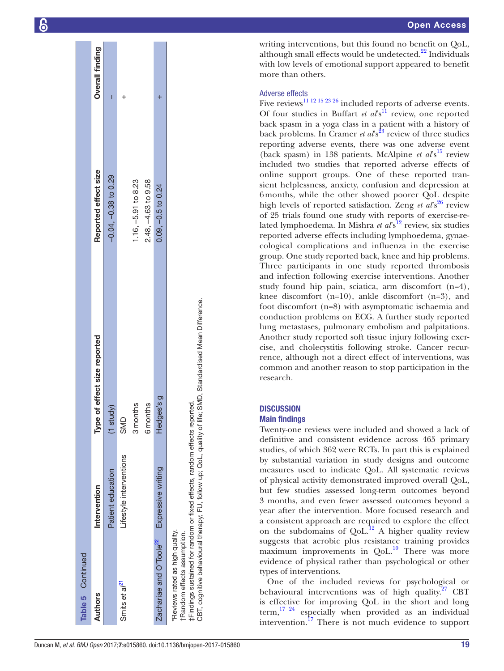| Table 5 Continued                                             |                                                                                                                                                       |                                    |                           |                        |
|---------------------------------------------------------------|-------------------------------------------------------------------------------------------------------------------------------------------------------|------------------------------------|---------------------------|------------------------|
| <b>Authors</b>                                                | Intervention                                                                                                                                          | of effect size reported<br>Type (  | Reported effect size      | <b>Overall finding</b> |
|                                                               | Patient education                                                                                                                                     | $(1$ study)                        | $-0.04$ , $-0.38$ to 0.29 | ı                      |
| Smits et al <sup>et</sup>                                     | Lifestyle interventions                                                                                                                               | SMD                                |                           |                        |
|                                                               |                                                                                                                                                       | 3 months                           | 1.16, -5.91 to 8.23       |                        |
|                                                               |                                                                                                                                                       | <b>6</b> months                    | $2.48, -4.63$ to 9.58     |                        |
| Zachariae and O'Toole <sup>22</sup>                           | Expressive writing                                                                                                                                    | Hedges's g                         | $0.09, -0.5$ to $0.24$    |                        |
| tRandom effects assumption.<br>Reviews rated as high quality. | ‡Findings sustained for random or fixed effects, random effects reported.<br>CBT, cognitive behavioural therapy; FU, follow up; QoL, quality of life; | SMD, Standardised Mean Difference. |                           |                        |

writing interventions, but this found no benefit on QoL, although small effects would be undetected. $^{22}$  $^{22}$  $^{22}$  Individuals with low levels of emotional support appeared to benefit more than others.

# Adverse effects

Five reviews<sup>11</sup><sup>12</sup><sup>15</sup><sup>23</sup><sup>26</sup> included reports of adverse events. Of four studies in Buffart *et al*<sup>s1</sup> review, one reported back spasm in a yoga class in a patient with a history of back problems. In Cramer *et al*'s<sup>23</sup> review of three studies reporting adverse events, there was one adverse event (back spasm) in 138 patients. McAlpine *et al*<sup>15</sup> review included two studies that reported adverse effects of online support groups. One of these reported tran sient helplessness, anxiety, confusion and depression at 6months, while the other showed poorer QoL despite high levels of reported satisfaction. Zeng *et al*<sup>826</sup> review of 25 trials found one study with reports of exercise-re lated lymphoedema. In Mishra *et al*<sup>812</sup> review, six studies reported adverse effects including lymphoedema, gynae cological complications and influenza in the exercise group. One study reported back, knee and hip problems. Three participants in one study reported thrombosis and infection following exercise interventions. Another study found hip pain, sciatica, arm discomfort (n=4), knee discomfort (n=10), ankle discomfort (n=3), and foot discomfort (n=8) with asymptomatic ischaemia and conduction problems on ECG. A further study reported lung metastases, pulmonary embolism and palpitations. Another study reported soft tissue injury following exercise, and cholecystitis following stroke. Cancer recurrence, although not a direct effect of interventions, was common and another reason to stop participation in the research.

# **DISCUSSION**

# Main findings

Twenty-one reviews were included and showed a lack of definitive and consistent evidence across 465 primary studies, of which 362 were RCTs. In part this is explained by substantial variation in study designs and outcome measures used to indicate QoL. All systematic reviews of physical activity demonstrated improved overall QoL, but few studies assessed long-term outcomes beyond 3 months, and even fewer assessed outcomes beyond a year after the intervention. More focused research and a consistent approach are required to explore the effect on the subdomains of  $QoL$ .<sup>12</sup> A higher quality review suggests that aerobic plus resistance training provides maximum improvements in  $QoL$ <sup>10</sup> There was more evidence of physical rather than psychological or other types of interventions.

One of the included reviews for psychological or behavioural interventions was of high quality. $27$  CBT is effective for improving QoL in the short and long  $term$ ,  $^{17}$   $^{24}$  especially when provided as an individual intervention.<sup>[17](#page-20-21)</sup> There is not much evidence to support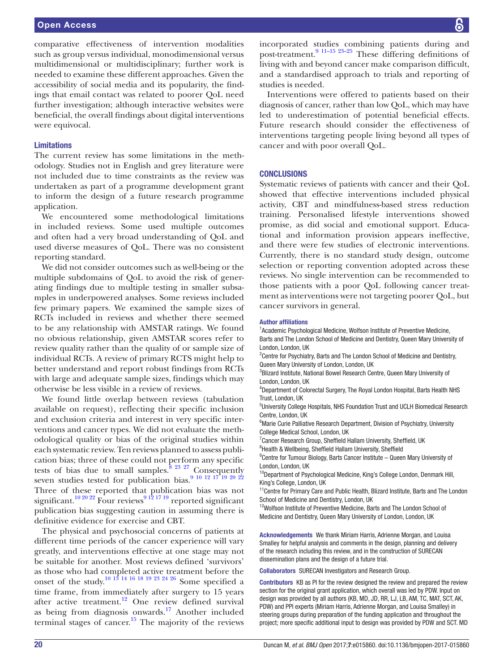Interventions were offered to patients based on their diagnosis of cancer, rather than low QoL, which may have led to underestimation of potential beneficial effects. Future research should consider the effectiveness of interventions targeting people living beyond all types of cancer and with poor overall QoL.

# **CONCLUSIONS**

Systematic reviews of patients with cancer and their QoL showed that effective interventions included physical activity, CBT and mindfulness-based stress reduction training. Personalised lifestyle interventions showed promise, as did social and emotional support. Educational and information provision appears ineffective, and there were few studies of electronic interventions. Currently, there is no standard study design, outcome selection or reporting convention adopted across these reviews. No single intervention can be recommended to those patients with a poor QoL following cancer treatment as interventions were not targeting poorer QoL, but cancer survivors in general.

#### Author affiliations

<sup>1</sup> Academic Psychological Medicine, Wolfson Institute of Preventive Medicine, Barts and The London School of Medicine and Dentistry, Queen Mary University of London, London, UK

<sup>2</sup> Centre for Psychiatry, Barts and The London School of Medicine and Dentistry, Queen Mary University of London, London, UK

<sup>3</sup>Blizard Institute, National Bowel Research Centre, Queen Mary University of London, London, UK

4 Department of Colorectal Surgery, The Royal London Hospital, Barts Health NHS Trust, London, UK

<sup>5</sup>University College Hospitals, NHS Foundation Trust and UCLH Biomedical Research Centre, London, UK

<sup>6</sup> Marie Curie Palliative Research Department, Division of Psychiatry, University College Medical School, London, UK

<sup>7</sup> Cancer Research Group, Sheffield Hallam University, Sheffield, UK

<sup>8</sup>Health & Wellbeing, Sheffield Hallam University, Sheffield

<sup>9</sup> Centre for Tumour Biology, Barts Cancer Institute - Queen Mary University of London, London, UK

 $^{10}$ Department of Psychological Medicine, King's College London, Denmark Hill, King's College, London, UK

 $11$ Centre for Primary Care and Public Health, Blizard Institute, Barts and The London School of Medicine and Dentistry, London, UK

<sup>12</sup>Wolfson Institute of Preventive Medicine, Barts and The London School of Medicine and Dentistry, Queen Mary University of London, London, UK

Acknowledgements We thank Miriam Harris, Adrienne Morgan, and Louisa Smalley for helpful analysis and comments in the design, planning and delivery of the research including this review, and in the construction of SURECAN dissemination plans and the design of a future trial.

Collaborators SURECAN Investigators and Research Group.

Contributors KB as PI for the review designed the review and prepared the review section for the original grant application, which overall was led by PDW. Input on design was provided by all authors (KB, MD, JD, RR, LJ, LB, AM, TC, MAT, SCT, AK, PDW) and PPI experts (Miriam Harris, Adrienne Morgan, and Louisa Smalley) in steering groups during preparation of the funding application and throughout the project; more specific additional input to design was provided by PDW and SCT. MD

comparative effectiveness of intervention modalities such as group versus individual, monodimensional versus multidimensional or multidisciplinary; further work is needed to examine these different approaches. Given the accessibility of social media and its popularity, the findings that email contact was related to poorer QoL need further investigation; although interactive websites were beneficial, the overall findings about digital interventions were equivocal.

#### **Limitations**

The current review has some limitations in the methodology. Studies not in English and grey literature were not included due to time constraints as the review was undertaken as part of a programme development grant to inform the design of a future research programme application.

We encountered some methodological limitations in included reviews. Some used multiple outcomes and often had a very broad understanding of QoL and used diverse measures of QoL. There was no consistent reporting standard.

We did not consider outcomes such as well-being or the multiple subdomains of QoL to avoid the risk of generating findings due to multiple testing in smaller subsamples in underpowered analyses. Some reviews included few primary papers. We examined the sample sizes of RCTs included in reviews and whether there seemed to be any relationship with AMSTAR ratings. We found no obvious relationship, given AMSTAR scores refer to review quality rather than the quality of or sample size of individual RCTs. A review of primary RCTS might help to better understand and report robust findings from RCTs with large and adequate sample sizes, findings which may otherwise be less visible in a review of reviews.

We found little overlap between reviews (tabulation available on request), reflecting their specific inclusion and exclusion criteria and interest in very specific interventions and cancer types. We did not evaluate the methodological quality or bias of the original studies within each systematic review. Ten reviews planned to assess publication bias; three of these could not perform any specific tests of bias due to small samples. $8^{23}$   $27$  Consequently seven studies tested for publication bias. $9^{10}$  12 17 19 20 22 Three of these reported that publication bias was not significant.<sup>[10 20 22](#page-20-12)</sup> Four reviews<sup>9 12</sup> <sup>17 19</sup> reported significant publication bias suggesting caution in assuming there is definitive evidence for exercise and CBT.

The physical and psychosocial concerns of patients at different time periods of the cancer experience will vary greatly, and interventions effective at one stage may not be suitable for another. Most reviews defined 'survivors' as those who had completed active treatment before the onset of the study.<sup>10 13</sup> <sup>14 16 18</sup> <sup>19 23 24 26</sup> Some specified a time frame, from immediately after surgery to 15 years after active treatment.<sup>[12](#page-20-20)</sup> One review defined survival as being from diagnosis onwards.<sup>17</sup> Another included terminal stages of cancer.<sup>15</sup> The majority of the reviews